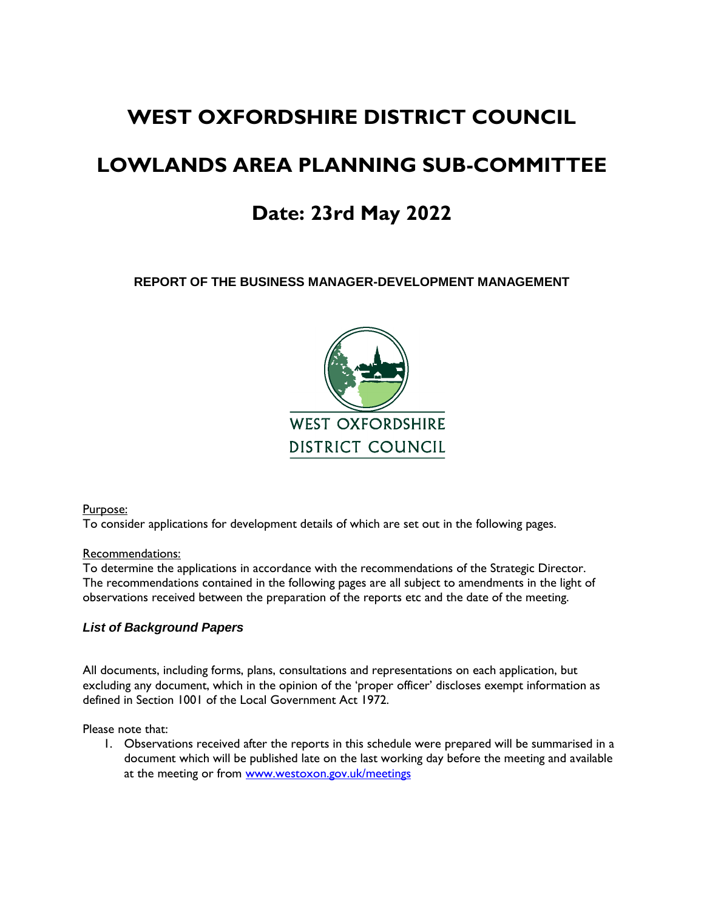# **WEST OXFORDSHIRE DISTRICT COUNCIL**

# **LOWLANDS AREA PLANNING SUB-COMMITTEE**

# **Date: 23rd May 2022**

**REPORT OF THE BUSINESS MANAGER-DEVELOPMENT MANAGEMENT**



Purpose:

To consider applications for development details of which are set out in the following pages.

#### Recommendations:

To determine the applications in accordance with the recommendations of the Strategic Director. The recommendations contained in the following pages are all subject to amendments in the light of observations received between the preparation of the reports etc and the date of the meeting.

#### *List of Background Papers*

All documents, including forms, plans, consultations and representations on each application, but excluding any document, which in the opinion of the 'proper officer' discloses exempt information as defined in Section 1001 of the Local Government Act 1972.

Please note that:

1. Observations received after the reports in this schedule were prepared will be summarised in a document which will be published late on the last working day before the meeting and available at the meeting or from [www.westoxon.gov.uk/meetings](http://www.westoxon.gov.uk/meetings)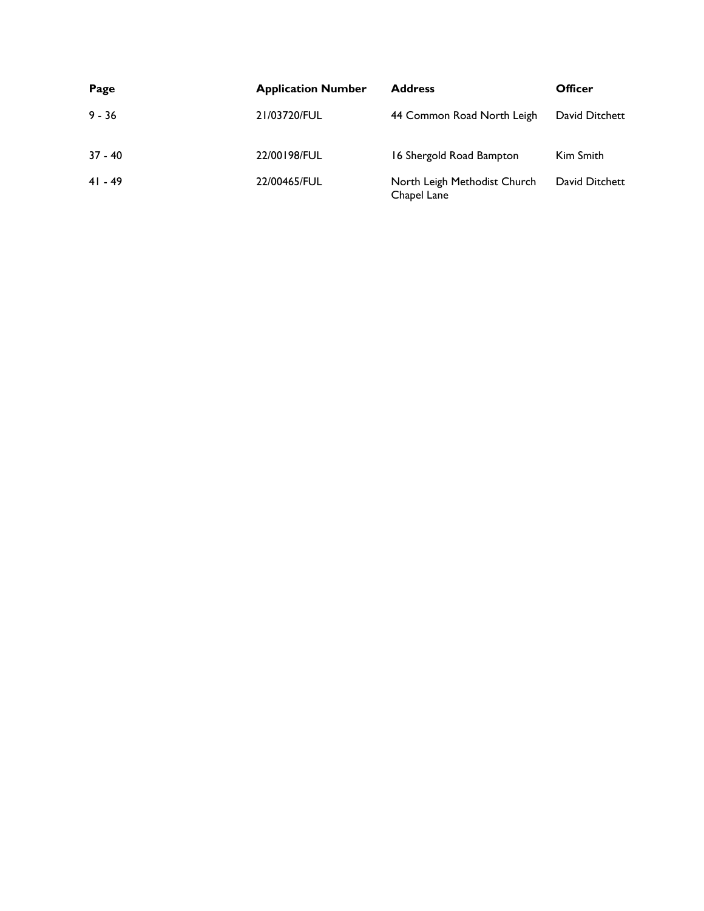| Page      | <b>Application Number</b> | <b>Address</b>                              | Officer        |
|-----------|---------------------------|---------------------------------------------|----------------|
| $9 - 36$  | 21/03720/FUL              | 44 Common Road North Leigh                  | David Ditchett |
| $37 - 40$ | 22/00198/FUL              | 16 Shergold Road Bampton                    | Kim Smith      |
| $41 - 49$ | 22/00465/FUL              | North Leigh Methodist Church<br>Chapel Lane | David Ditchett |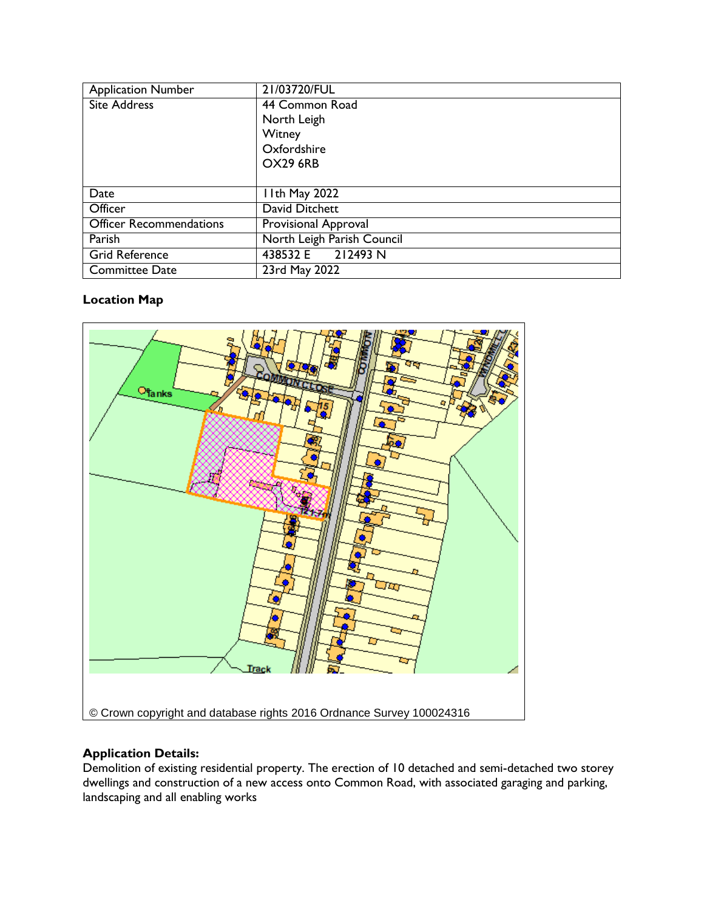| <b>Application Number</b>      | 21/03720/FUL                |
|--------------------------------|-----------------------------|
| <b>Site Address</b>            | 44 Common Road              |
|                                | North Leigh                 |
|                                | Witney                      |
|                                | Oxfordshire                 |
|                                | <b>OX29 6RB</b>             |
|                                |                             |
| Date                           | I Ith May 2022              |
| Officer                        | David Ditchett              |
| <b>Officer Recommendations</b> | <b>Provisional Approval</b> |
| Parish                         | North Leigh Parish Council  |
| <b>Grid Reference</b>          | 438532 E 212493 N           |
| <b>Committee Date</b>          | 23rd May 2022               |

# **Location Map**



# **Application Details:**

Demolition of existing residential property. The erection of 10 detached and semi-detached two storey dwellings and construction of a new access onto Common Road, with associated garaging and parking, landscaping and all enabling works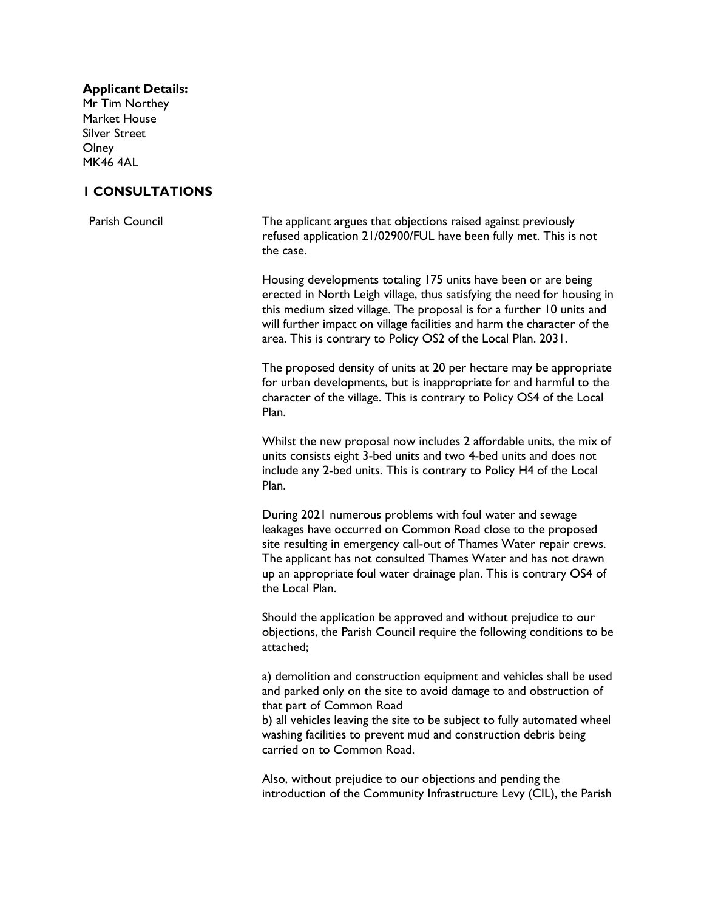#### **Applicant Details:**

Mr Tim Northey Market House Silver Street **Olney** MK46 4AL

#### **1 CONSULTATIONS**

Parish Council The applicant argues that objections raised against previously refused application 21/02900/FUL have been fully met. This is not the case.

> Housing developments totaling 175 units have been or are being erected in North Leigh village, thus satisfying the need for housing in this medium sized village. The proposal is for a further 10 units and will further impact on village facilities and harm the character of the area. This is contrary to Policy OS2 of the Local Plan. 2031.

> The proposed density of units at 20 per hectare may be appropriate for urban developments, but is inappropriate for and harmful to the character of the village. This is contrary to Policy OS4 of the Local Plan.

> Whilst the new proposal now includes 2 affordable units, the mix of units consists eight 3-bed units and two 4-bed units and does not include any 2-bed units. This is contrary to Policy H4 of the Local Plan.

During 2021 numerous problems with foul water and sewage leakages have occurred on Common Road close to the proposed site resulting in emergency call-out of Thames Water repair crews. The applicant has not consulted Thames Water and has not drawn up an appropriate foul water drainage plan. This is contrary OS4 of the Local Plan.

Should the application be approved and without prejudice to our objections, the Parish Council require the following conditions to be attached;

a) demolition and construction equipment and vehicles shall be used and parked only on the site to avoid damage to and obstruction of that part of Common Road

b) all vehicles leaving the site to be subject to fully automated wheel washing facilities to prevent mud and construction debris being carried on to Common Road.

Also, without prejudice to our objections and pending the introduction of the Community Infrastructure Levy (CIL), the Parish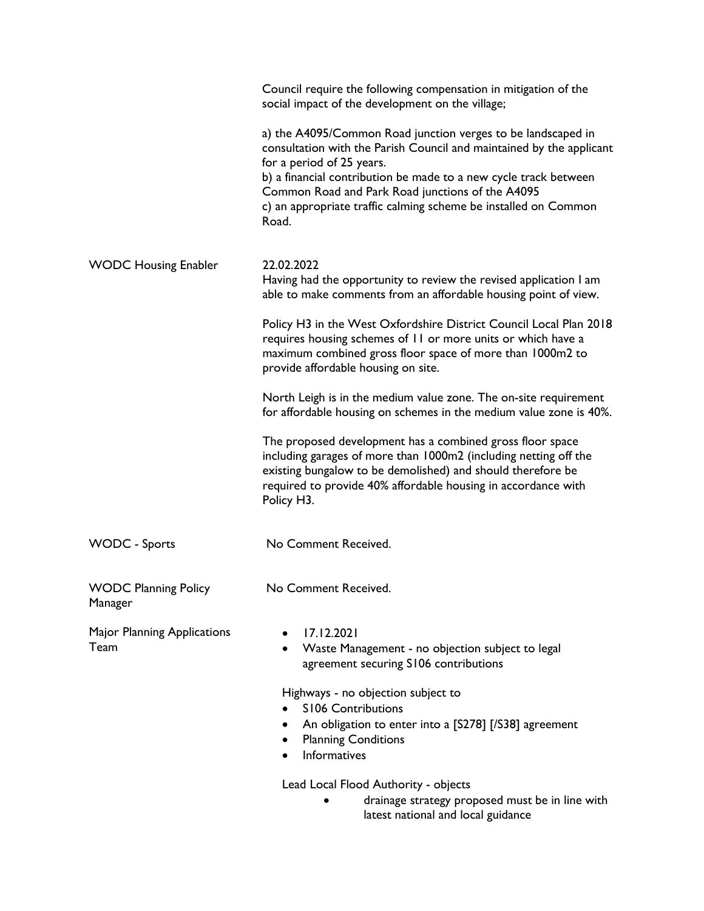|                                            | Council require the following compensation in mitigation of the<br>social impact of the development on the village;                                                                                                                                                                                                                                                   |
|--------------------------------------------|-----------------------------------------------------------------------------------------------------------------------------------------------------------------------------------------------------------------------------------------------------------------------------------------------------------------------------------------------------------------------|
|                                            | a) the A4095/Common Road junction verges to be landscaped in<br>consultation with the Parish Council and maintained by the applicant<br>for a period of 25 years.<br>b) a financial contribution be made to a new cycle track between<br>Common Road and Park Road junctions of the A4095<br>c) an appropriate traffic calming scheme be installed on Common<br>Road. |
| <b>WODC Housing Enabler</b>                | 22.02.2022<br>Having had the opportunity to review the revised application I am<br>able to make comments from an affordable housing point of view.                                                                                                                                                                                                                    |
|                                            | Policy H3 in the West Oxfordshire District Council Local Plan 2018<br>requires housing schemes of 11 or more units or which have a<br>maximum combined gross floor space of more than 1000m2 to<br>provide affordable housing on site.                                                                                                                                |
|                                            | North Leigh is in the medium value zone. The on-site requirement<br>for affordable housing on schemes in the medium value zone is 40%.                                                                                                                                                                                                                                |
|                                            | The proposed development has a combined gross floor space<br>including garages of more than 1000m2 (including netting off the<br>existing bungalow to be demolished) and should therefore be<br>required to provide 40% affordable housing in accordance with<br>Policy H3.                                                                                           |
| <b>WODC</b> - Sports                       | No Comment Received.                                                                                                                                                                                                                                                                                                                                                  |
| <b>WODC Planning Policy</b><br>Manager     | No Comment Received.                                                                                                                                                                                                                                                                                                                                                  |
| <b>Major Planning Applications</b><br>Team | 17.12.2021<br>Waste Management - no objection subject to legal<br>agreement securing S106 contributions                                                                                                                                                                                                                                                               |
|                                            | Highways - no objection subject to<br><b>S106 Contributions</b><br>An obligation to enter into a [S278] [/S38] agreement<br><b>Planning Conditions</b><br><b>Informatives</b>                                                                                                                                                                                         |
|                                            | Lead Local Flood Authority - objects                                                                                                                                                                                                                                                                                                                                  |

 drainage strategy proposed must be in line with latest national and local guidance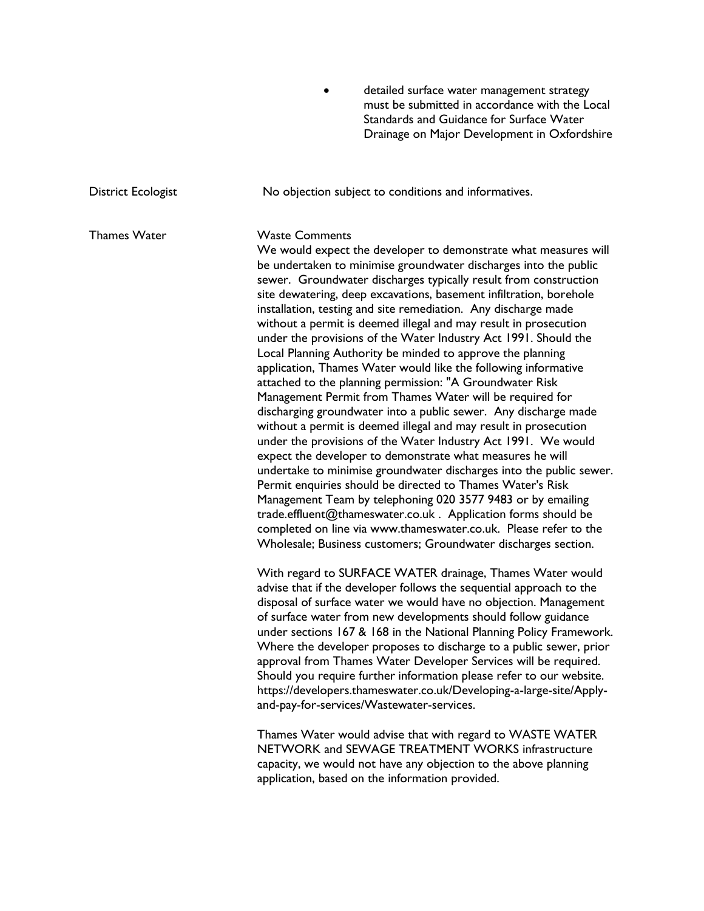detailed surface water management strategy must be submitted in accordance with the Local Standards and Guidance for Surface Water Drainage on Major Development in Oxfordshire

District Ecologist **No objection subject to conditions and informatives.** Thames Water Waste Comments We would expect the developer to demonstrate what measures will be undertaken to minimise groundwater discharges into the public sewer. Groundwater discharges typically result from construction site dewatering, deep excavations, basement infiltration, borehole installation, testing and site remediation. Any discharge made without a permit is deemed illegal and may result in prosecution under the provisions of the Water Industry Act 1991. Should the Local Planning Authority be minded to approve the planning application, Thames Water would like the following informative attached to the planning permission: "A Groundwater Risk Management Permit from Thames Water will be required for discharging groundwater into a public sewer. Any discharge made without a permit is deemed illegal and may result in prosecution under the provisions of the Water Industry Act 1991. We would expect the developer to demonstrate what measures he will undertake to minimise groundwater discharges into the public sewer. Permit enquiries should be directed to Thames Water's Risk Management Team by telephoning 020 3577 9483 or by emailing trade.effluent@thameswater.co.uk . Application forms should be completed on line via www.thameswater.co.uk. Please refer to the Wholesale; Business customers; Groundwater discharges section. With regard to SURFACE WATER drainage, Thames Water would advise that if the developer follows the sequential approach to the disposal of surface water we would have no objection. Management of surface water from new developments should follow guidance under sections 167 & 168 in the National Planning Policy Framework. Where the developer proposes to discharge to a public sewer, prior approval from Thames Water Developer Services will be required. Should you require further information please refer to our website. https://developers.thameswater.co.uk/Developing-a-large-site/Applyand-pay-for-services/Wastewater-services. Thames Water would advise that with regard to WASTE WATER NETWORK and SEWAGE TREATMENT WORKS infrastructure capacity, we would not have any objection to the above planning application, based on the information provided.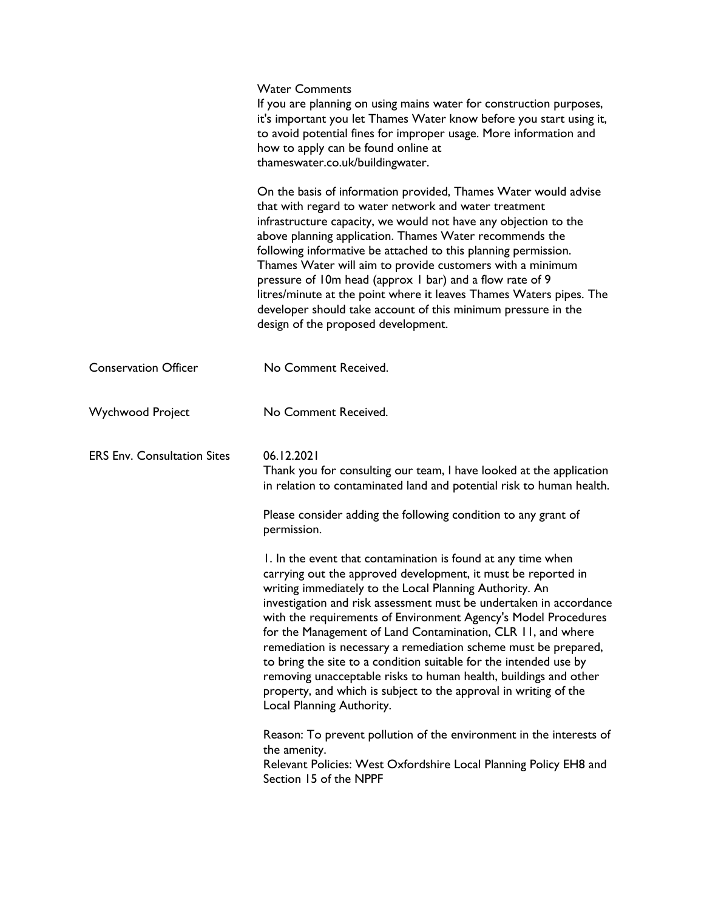|                                    | <b>Water Comments</b><br>If you are planning on using mains water for construction purposes,<br>it's important you let Thames Water know before you start using it,<br>to avoid potential fines for improper usage. More information and<br>how to apply can be found online at<br>thameswater.co.uk/buildingwater.                                                                                                                                                                                                                                                                                                                                                                                          |
|------------------------------------|--------------------------------------------------------------------------------------------------------------------------------------------------------------------------------------------------------------------------------------------------------------------------------------------------------------------------------------------------------------------------------------------------------------------------------------------------------------------------------------------------------------------------------------------------------------------------------------------------------------------------------------------------------------------------------------------------------------|
|                                    | On the basis of information provided, Thames Water would advise<br>that with regard to water network and water treatment<br>infrastructure capacity, we would not have any objection to the<br>above planning application. Thames Water recommends the<br>following informative be attached to this planning permission.<br>Thames Water will aim to provide customers with a minimum<br>pressure of 10m head (approx 1 bar) and a flow rate of 9<br>litres/minute at the point where it leaves Thames Waters pipes. The<br>developer should take account of this minimum pressure in the<br>design of the proposed development.                                                                             |
| <b>Conservation Officer</b>        | No Comment Received.                                                                                                                                                                                                                                                                                                                                                                                                                                                                                                                                                                                                                                                                                         |
| <b>Wychwood Project</b>            | No Comment Received.                                                                                                                                                                                                                                                                                                                                                                                                                                                                                                                                                                                                                                                                                         |
| <b>ERS Env. Consultation Sites</b> | 06.12.2021<br>Thank you for consulting our team, I have looked at the application<br>in relation to contaminated land and potential risk to human health.                                                                                                                                                                                                                                                                                                                                                                                                                                                                                                                                                    |
|                                    | Please consider adding the following condition to any grant of<br>permission.                                                                                                                                                                                                                                                                                                                                                                                                                                                                                                                                                                                                                                |
|                                    | 1. In the event that contamination is found at any time when<br>carrying out the approved development, it must be reported in<br>writing immediately to the Local Planning Authority. An<br>investigation and risk assessment must be undertaken in accordance<br>with the requirements of Environment Agency's Model Procedures<br>for the Management of Land Contamination, CLR 11, and where<br>remediation is necessary a remediation scheme must be prepared,<br>to bring the site to a condition suitable for the intended use by<br>removing unacceptable risks to human health, buildings and other<br>property, and which is subject to the approval in writing of the<br>Local Planning Authority. |
|                                    | Reason: To prevent pollution of the environment in the interests of<br>the amenity.<br>Relevant Policies: West Oxfordshire Local Planning Policy EH8 and<br>Section 15 of the NPPF                                                                                                                                                                                                                                                                                                                                                                                                                                                                                                                           |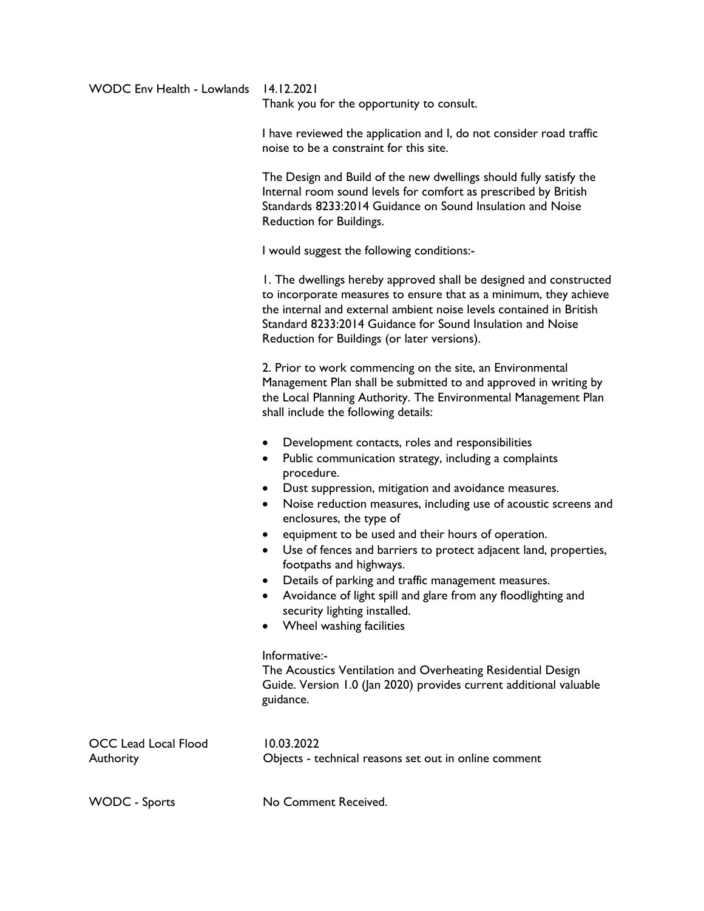| <b>WODC Env Health - Lowlands</b> | 14.12.2021<br>Thank you for the opportunity to consult.                                                                                                                                                                                                                                                                                                                                                                                                                                                                                                                                                                                                                                                                                                                                                                                     |  |
|-----------------------------------|---------------------------------------------------------------------------------------------------------------------------------------------------------------------------------------------------------------------------------------------------------------------------------------------------------------------------------------------------------------------------------------------------------------------------------------------------------------------------------------------------------------------------------------------------------------------------------------------------------------------------------------------------------------------------------------------------------------------------------------------------------------------------------------------------------------------------------------------|--|
|                                   | I have reviewed the application and I, do not consider road traffic<br>noise to be a constraint for this site.                                                                                                                                                                                                                                                                                                                                                                                                                                                                                                                                                                                                                                                                                                                              |  |
|                                   | The Design and Build of the new dwellings should fully satisfy the<br>Internal room sound levels for comfort as prescribed by British<br>Standards 8233:2014 Guidance on Sound Insulation and Noise<br>Reduction for Buildings.                                                                                                                                                                                                                                                                                                                                                                                                                                                                                                                                                                                                             |  |
|                                   | I would suggest the following conditions:-                                                                                                                                                                                                                                                                                                                                                                                                                                                                                                                                                                                                                                                                                                                                                                                                  |  |
|                                   | 1. The dwellings hereby approved shall be designed and constructed<br>to incorporate measures to ensure that as a minimum, they achieve<br>the internal and external ambient noise levels contained in British<br>Standard 8233:2014 Guidance for Sound Insulation and Noise<br>Reduction for Buildings (or later versions).                                                                                                                                                                                                                                                                                                                                                                                                                                                                                                                |  |
|                                   | 2. Prior to work commencing on the site, an Environmental<br>Management Plan shall be submitted to and approved in writing by<br>the Local Planning Authority. The Environmental Management Plan<br>shall include the following details:                                                                                                                                                                                                                                                                                                                                                                                                                                                                                                                                                                                                    |  |
|                                   | Development contacts, roles and responsibilities<br>Public communication strategy, including a complaints<br>٠<br>procedure.<br>Dust suppression, mitigation and avoidance measures.<br>Noise reduction measures, including use of acoustic screens and<br>٠<br>enclosures, the type of<br>equipment to be used and their hours of operation.<br>$\bullet$<br>Use of fences and barriers to protect adjacent land, properties,<br>$\bullet$<br>footpaths and highways.<br>Details of parking and traffic management measures.<br>Avoidance of light spill and glare from any floodlighting and<br>security lighting installed.<br>Wheel washing facilities<br>$\bullet$<br>Informative:-<br>The Acoustics Ventilation and Overheating Residential Design<br>Guide. Version 1.0 (Jan 2020) provides current additional valuable<br>guidance. |  |
| OCC Lead Local Flood<br>Authority | 10.03.2022<br>Objects - technical reasons set out in online comment                                                                                                                                                                                                                                                                                                                                                                                                                                                                                                                                                                                                                                                                                                                                                                         |  |
| <b>WODC</b> - Sports              | No Comment Received.                                                                                                                                                                                                                                                                                                                                                                                                                                                                                                                                                                                                                                                                                                                                                                                                                        |  |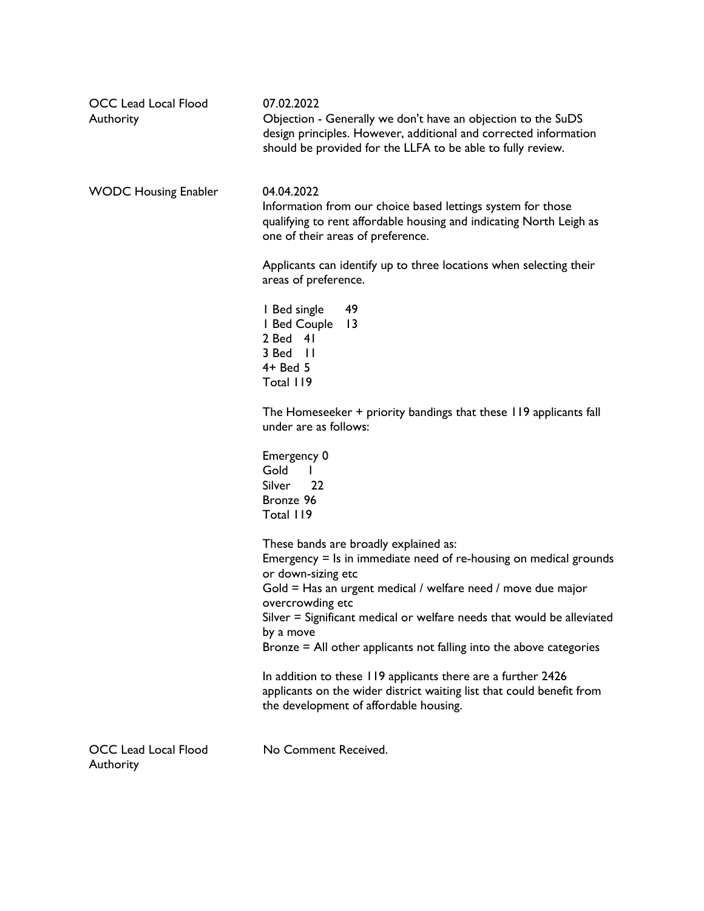| <b>OCC Lead Local Flood</b><br>Authority | 07.02.2022<br>Objection - Generally we don't have an objection to the SuDS<br>design principles. However, additional and corrected information<br>should be provided for the LLFA to be able to fully review.                                                                                    |
|------------------------------------------|--------------------------------------------------------------------------------------------------------------------------------------------------------------------------------------------------------------------------------------------------------------------------------------------------|
| <b>WODC Housing Enabler</b>              | 04.04.2022<br>Information from our choice based lettings system for those<br>qualifying to rent affordable housing and indicating North Leigh as<br>one of their areas of preference.                                                                                                            |
|                                          | Applicants can identify up to three locations when selecting their<br>areas of preference.                                                                                                                                                                                                       |
|                                          | 49<br>I Bed single<br>I Bed Couple<br>$\overline{13}$<br>$2$ Bed $41$<br>3 Bed II<br>$4+$ Bed 5<br>Total 119                                                                                                                                                                                     |
|                                          | The Homeseeker + priority bandings that these 119 applicants fall<br>under are as follows:                                                                                                                                                                                                       |
|                                          | Emergency 0<br>Gold<br><b>Silver</b><br>22<br>Bronze 96<br>Total 119                                                                                                                                                                                                                             |
|                                          | These bands are broadly explained as:<br>Emergency $=$ Is in immediate need of re-housing on medical grounds<br>or down-sizing etc<br>Gold = Has an urgent medical / welfare need / move due major<br>overcrowding etc<br>Silver = Significant medical or welfare needs that would be alleviated |
|                                          | by a move<br>Bronze = All other applicants not falling into the above categories                                                                                                                                                                                                                 |
|                                          | In addition to these 119 applicants there are a further 2426<br>applicants on the wider district waiting list that could benefit from<br>the development of affordable housing.                                                                                                                  |
| <b>OCC Lead Local Flood</b><br>Authority | No Comment Received.                                                                                                                                                                                                                                                                             |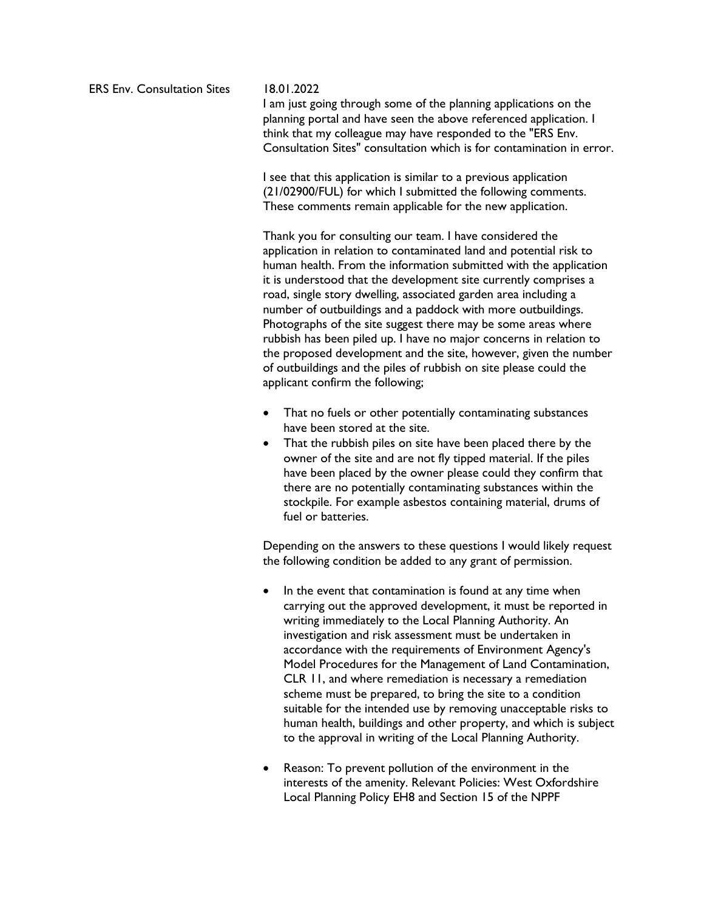ERS Env. Consultation Sites 18.01.2022

I am just going through some of the planning applications on the planning portal and have seen the above referenced application. I think that my colleague may have responded to the "ERS Env. Consultation Sites" consultation which is for contamination in error.

I see that this application is similar to a previous application (21/02900/FUL) for which I submitted the following comments. These comments remain applicable for the new application.

Thank you for consulting our team. I have considered the application in relation to contaminated land and potential risk to human health. From the information submitted with the application it is understood that the development site currently comprises a road, single story dwelling, associated garden area including a number of outbuildings and a paddock with more outbuildings. Photographs of the site suggest there may be some areas where rubbish has been piled up. I have no major concerns in relation to the proposed development and the site, however, given the number of outbuildings and the piles of rubbish on site please could the applicant confirm the following;

- That no fuels or other potentially contaminating substances have been stored at the site.
- That the rubbish piles on site have been placed there by the owner of the site and are not fly tipped material. If the piles have been placed by the owner please could they confirm that there are no potentially contaminating substances within the stockpile. For example asbestos containing material, drums of fuel or batteries.

Depending on the answers to these questions I would likely request the following condition be added to any grant of permission.

- In the event that contamination is found at any time when carrying out the approved development, it must be reported in writing immediately to the Local Planning Authority. An investigation and risk assessment must be undertaken in accordance with the requirements of Environment Agency's Model Procedures for the Management of Land Contamination, CLR 11, and where remediation is necessary a remediation scheme must be prepared, to bring the site to a condition suitable for the intended use by removing unacceptable risks to human health, buildings and other property, and which is subject to the approval in writing of the Local Planning Authority.
- Reason: To prevent pollution of the environment in the interests of the amenity. Relevant Policies: West Oxfordshire Local Planning Policy EH8 and Section 15 of the NPPF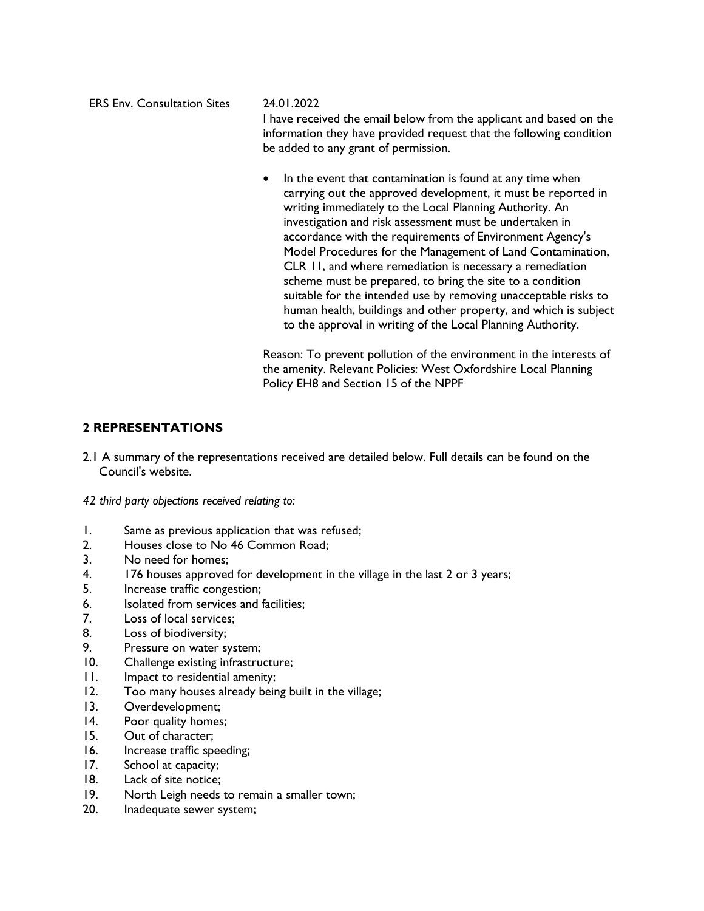ERS Env. Consultation Sites 24.01.2022 I have received the email below from the applicant and based on the information they have provided request that the following condition

be added to any grant of permission.

• In the event that contamination is found at any time when carrying out the approved development, it must be reported in writing immediately to the Local Planning Authority. An investigation and risk assessment must be undertaken in accordance with the requirements of Environment Agency's Model Procedures for the Management of Land Contamination, CLR 11, and where remediation is necessary a remediation scheme must be prepared, to bring the site to a condition suitable for the intended use by removing unacceptable risks to human health, buildings and other property, and which is subject to the approval in writing of the Local Planning Authority.

Reason: To prevent pollution of the environment in the interests of the amenity. Relevant Policies: West Oxfordshire Local Planning Policy EH8 and Section 15 of the NPPF

# **2 REPRESENTATIONS**

2.1 A summary of the representations received are detailed below. Full details can be found on the Council's website.

*42 third party objections received relating to:* 

- 1. Same as previous application that was refused;
- 2. Houses close to No 46 Common Road;
- 3. No need for homes;
- 4. 176 houses approved for development in the village in the last 2 or 3 years;
- 5. Increase traffic congestion;
- 6. Isolated from services and facilities;
- 7. Loss of local services;
- 8. Loss of biodiversity;
- 9. Pressure on water system;
- 10. Challenge existing infrastructure;
- 11. Impact to residential amenity;
- 12. Too many houses already being built in the village;
- 13. Overdevelopment;
- 14. Poor quality homes;
- 15. Out of character;
- 16. Increase traffic speeding;
- 17. School at capacity;
- 18. Lack of site notice;
- 19. North Leigh needs to remain a smaller town;
- 20. Inadequate sewer system;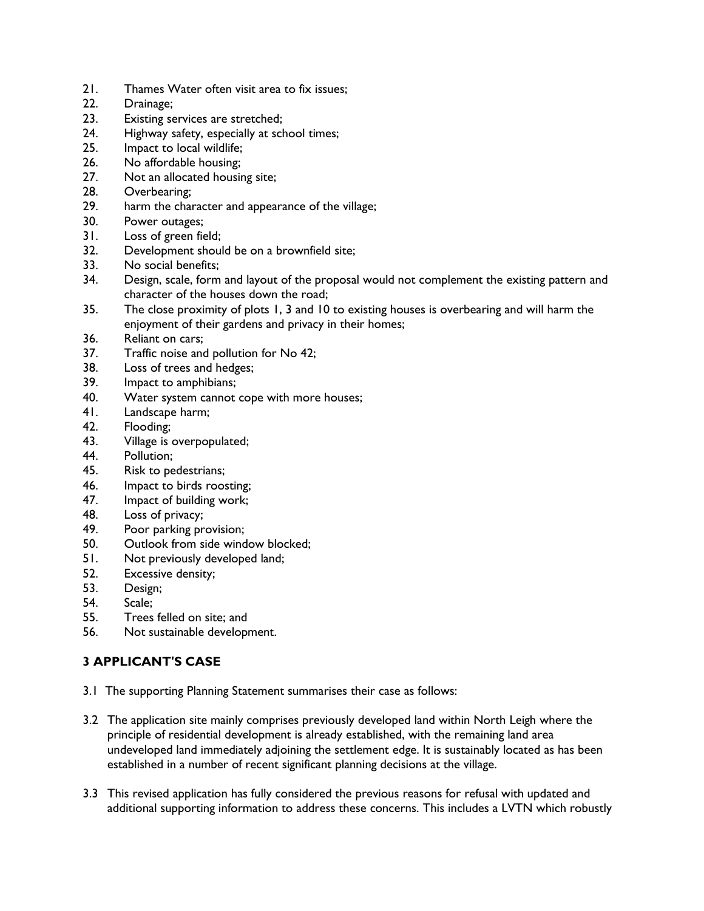- 21. Thames Water often visit area to fix issues;
- 22. Drainage;
- 23. Existing services are stretched;<br>24. Highway safety, especially at sch
- Highway safety, especially at school times;
- 25. Impact to local wildlife;
- 26. No affordable housing;
- 27. Not an allocated housing site;
- 28. Overbearing;
- 29. harm the character and appearance of the village;
- 30. Power outages;
- 31. Loss of green field;
- 32. Development should be on a brownfield site;
- 33. No social benefits;
- 34. Design, scale, form and layout of the proposal would not complement the existing pattern and character of the houses down the road;
- 35. The close proximity of plots 1, 3 and 10 to existing houses is overbearing and will harm the enjoyment of their gardens and privacy in their homes;
- 36. Reliant on cars;
- 37. Traffic noise and pollution for No 42;
- 38. Loss of trees and hedges;
- 39. Impact to amphibians;
- 40. Water system cannot cope with more houses;
- 41. Landscape harm;
- 42. Flooding;
- 43. Village is overpopulated;
- 44. Pollution;
- 45. Risk to pedestrians;
- 46. Impact to birds roosting;
- 47. Impact of building work;
- 48. Loss of privacy;
- 49. Poor parking provision;
- 50. Outlook from side window blocked;
- 51. Not previously developed land;
- 52. Excessive density;
- 53. Design;
- 54. Scale;
- 55. Trees felled on site; and
- 56. Not sustainable development.

# **3 APPLICANT'S CASE**

- 3.1 The supporting Planning Statement summarises their case as follows:
- 3.2 The application site mainly comprises previously developed land within North Leigh where the principle of residential development is already established, with the remaining land area undeveloped land immediately adjoining the settlement edge. It is sustainably located as has been established in a number of recent significant planning decisions at the village.
- 3.3 This revised application has fully considered the previous reasons for refusal with updated and additional supporting information to address these concerns. This includes a LVTN which robustly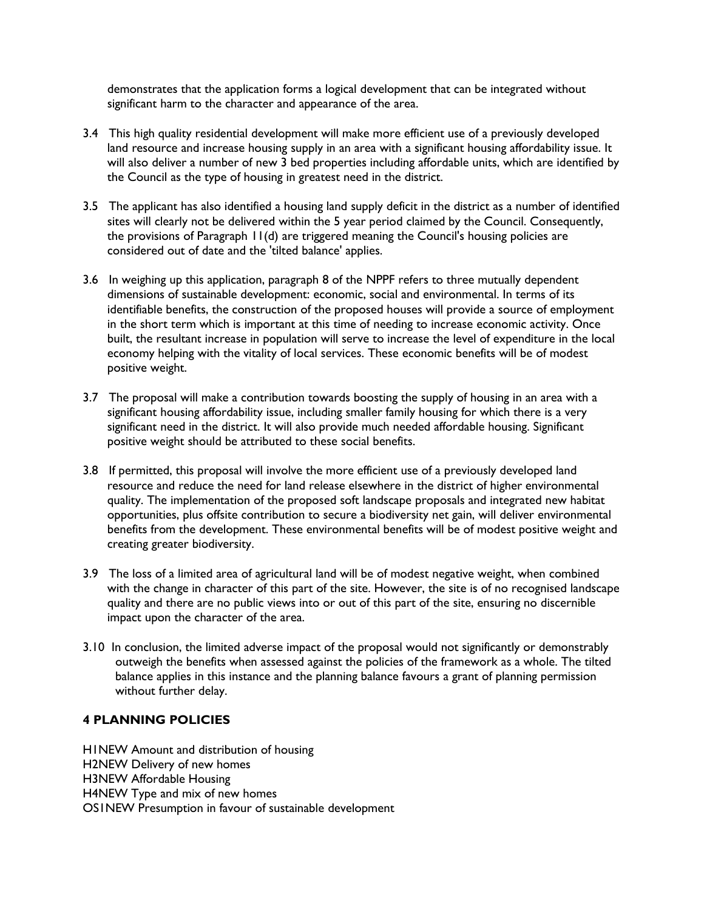demonstrates that the application forms a logical development that can be integrated without significant harm to the character and appearance of the area.

- 3.4 This high quality residential development will make more efficient use of a previously developed land resource and increase housing supply in an area with a significant housing affordability issue. It will also deliver a number of new 3 bed properties including affordable units, which are identified by the Council as the type of housing in greatest need in the district.
- 3.5 The applicant has also identified a housing land supply deficit in the district as a number of identified sites will clearly not be delivered within the 5 year period claimed by the Council. Consequently, the provisions of Paragraph 11(d) are triggered meaning the Council's housing policies are considered out of date and the 'tilted balance' applies.
- 3.6 In weighing up this application, paragraph 8 of the NPPF refers to three mutually dependent dimensions of sustainable development: economic, social and environmental. In terms of its identifiable benefits, the construction of the proposed houses will provide a source of employment in the short term which is important at this time of needing to increase economic activity. Once built, the resultant increase in population will serve to increase the level of expenditure in the local economy helping with the vitality of local services. These economic benefits will be of modest positive weight.
- 3.7 The proposal will make a contribution towards boosting the supply of housing in an area with a significant housing affordability issue, including smaller family housing for which there is a very significant need in the district. It will also provide much needed affordable housing. Significant positive weight should be attributed to these social benefits.
- 3.8 If permitted, this proposal will involve the more efficient use of a previously developed land resource and reduce the need for land release elsewhere in the district of higher environmental quality. The implementation of the proposed soft landscape proposals and integrated new habitat opportunities, plus offsite contribution to secure a biodiversity net gain, will deliver environmental benefits from the development. These environmental benefits will be of modest positive weight and creating greater biodiversity.
- 3.9 The loss of a limited area of agricultural land will be of modest negative weight, when combined with the change in character of this part of the site. However, the site is of no recognised landscape quality and there are no public views into or out of this part of the site, ensuring no discernible impact upon the character of the area.
- 3.10 In conclusion, the limited adverse impact of the proposal would not significantly or demonstrably outweigh the benefits when assessed against the policies of the framework as a whole. The tilted balance applies in this instance and the planning balance favours a grant of planning permission without further delay.

# **4 PLANNING POLICIES**

H1NEW Amount and distribution of housing H2NEW Delivery of new homes H3NEW Affordable Housing H4NEW Type and mix of new homes OS1NEW Presumption in favour of sustainable development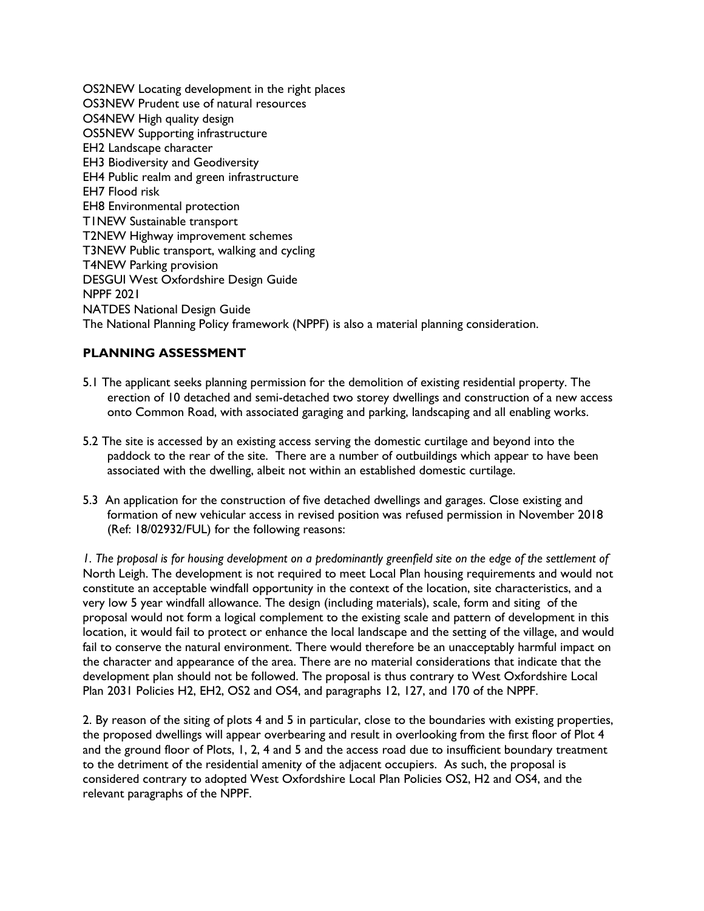OS2NEW Locating development in the right places OS3NEW Prudent use of natural resources OS4NEW High quality design OS5NEW Supporting infrastructure EH2 Landscape character EH3 Biodiversity and Geodiversity EH4 Public realm and green infrastructure EH7 Flood risk EH8 Environmental protection T1NEW Sustainable transport T2NEW Highway improvement schemes T3NEW Public transport, walking and cycling T4NEW Parking provision DESGUI West Oxfordshire Design Guide NPPF 2021 NATDES National Design Guide The National Planning Policy framework (NPPF) is also a material planning consideration.

# **PLANNING ASSESSMENT**

- 5.1 The applicant seeks planning permission for the demolition of existing residential property. The erection of 10 detached and semi-detached two storey dwellings and construction of a new access onto Common Road, with associated garaging and parking, landscaping and all enabling works.
- 5.2 The site is accessed by an existing access serving the domestic curtilage and beyond into the paddock to the rear of the site. There are a number of outbuildings which appear to have been associated with the dwelling, albeit not within an established domestic curtilage.
- 5.3 An application for the construction of five detached dwellings and garages. Close existing and formation of new vehicular access in revised position was refused permission in November 2018 (Ref: 18/02932/FUL) for the following reasons:

*1. The proposal is for housing development on a predominantly greenfield site on the edge of the settlement of* North Leigh. The development is not required to meet Local Plan housing requirements and would not constitute an acceptable windfall opportunity in the context of the location, site characteristics, and a very low 5 year windfall allowance. The design (including materials), scale, form and siting of the proposal would not form a logical complement to the existing scale and pattern of development in this location, it would fail to protect or enhance the local landscape and the setting of the village, and would fail to conserve the natural environment. There would therefore be an unacceptably harmful impact on the character and appearance of the area. There are no material considerations that indicate that the development plan should not be followed. The proposal is thus contrary to West Oxfordshire Local Plan 2031 Policies H2, EH2, OS2 and OS4, and paragraphs 12, 127, and 170 of the NPPF.

2. By reason of the siting of plots 4 and 5 in particular, close to the boundaries with existing properties, the proposed dwellings will appear overbearing and result in overlooking from the first floor of Plot 4 and the ground floor of Plots, 1, 2, 4 and 5 and the access road due to insufficient boundary treatment to the detriment of the residential amenity of the adjacent occupiers. As such, the proposal is considered contrary to adopted West Oxfordshire Local Plan Policies OS2, H2 and OS4, and the relevant paragraphs of the NPPF.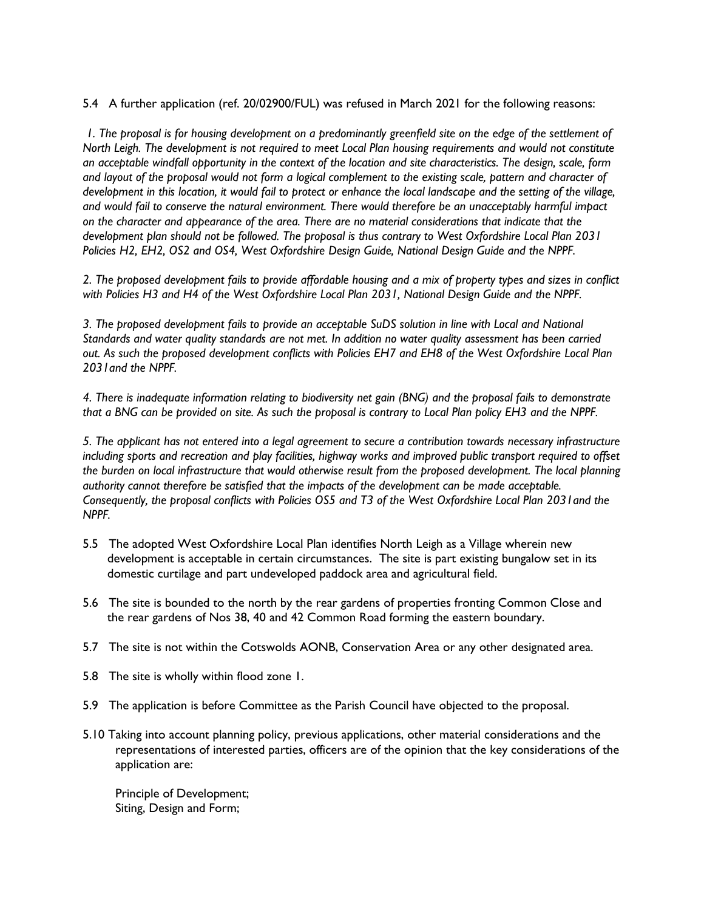5.4 A further application (ref. 20/02900/FUL) was refused in March 2021 for the following reasons:

*1. The proposal is for housing development on a predominantly greenfield site on the edge of the settlement of North Leigh. The development is not required to meet Local Plan housing requirements and would not constitute an acceptable windfall opportunity in the context of the location and site characteristics. The design, scale, form and layout of the proposal would not form a logical complement to the existing scale, pattern and character of development in this location, it would fail to protect or enhance the local landscape and the setting of the village, and would fail to conserve the natural environment. There would therefore be an unacceptably harmful impact on the character and appearance of the area. There are no material considerations that indicate that the development plan should not be followed. The proposal is thus contrary to West Oxfordshire Local Plan 2031 Policies H2, EH2, OS2 and OS4, West Oxfordshire Design Guide, National Design Guide and the NPPF.*

*2. The proposed development fails to provide affordable housing and a mix of property types and sizes in conflict with Policies H3 and H4 of the West Oxfordshire Local Plan 2031, National Design Guide and the NPPF.*

*3. The proposed development fails to provide an acceptable SuDS solution in line with Local and National Standards and water quality standards are not met. In addition no water quality assessment has been carried out. As such the proposed development conflicts with Policies EH7 and EH8 of the West Oxfordshire Local Plan 2031and the NPPF.*

*4. There is inadequate information relating to biodiversity net gain (BNG) and the proposal fails to demonstrate that a BNG can be provided on site. As such the proposal is contrary to Local Plan policy EH3 and the NPPF.*

*5. The applicant has not entered into a legal agreement to secure a contribution towards necessary infrastructure*  including sports and recreation and play facilities, highway works and improved public transport required to offset *the burden on local infrastructure that would otherwise result from the proposed development. The local planning authority cannot therefore be satisfied that the impacts of the development can be made acceptable. Consequently, the proposal conflicts with Policies OS5 and T3 of the West Oxfordshire Local Plan 2031and the NPPF.* 

- 5.5 The adopted West Oxfordshire Local Plan identifies North Leigh as a Village wherein new development is acceptable in certain circumstances. The site is part existing bungalow set in its domestic curtilage and part undeveloped paddock area and agricultural field.
- 5.6 The site is bounded to the north by the rear gardens of properties fronting Common Close and the rear gardens of Nos 38, 40 and 42 Common Road forming the eastern boundary.
- 5.7 The site is not within the Cotswolds AONB, Conservation Area or any other designated area.
- 5.8 The site is wholly within flood zone 1.
- 5.9 The application is before Committee as the Parish Council have objected to the proposal.
- 5.10 Taking into account planning policy, previous applications, other material considerations and the representations of interested parties, officers are of the opinion that the key considerations of the application are:

Principle of Development; Siting, Design and Form;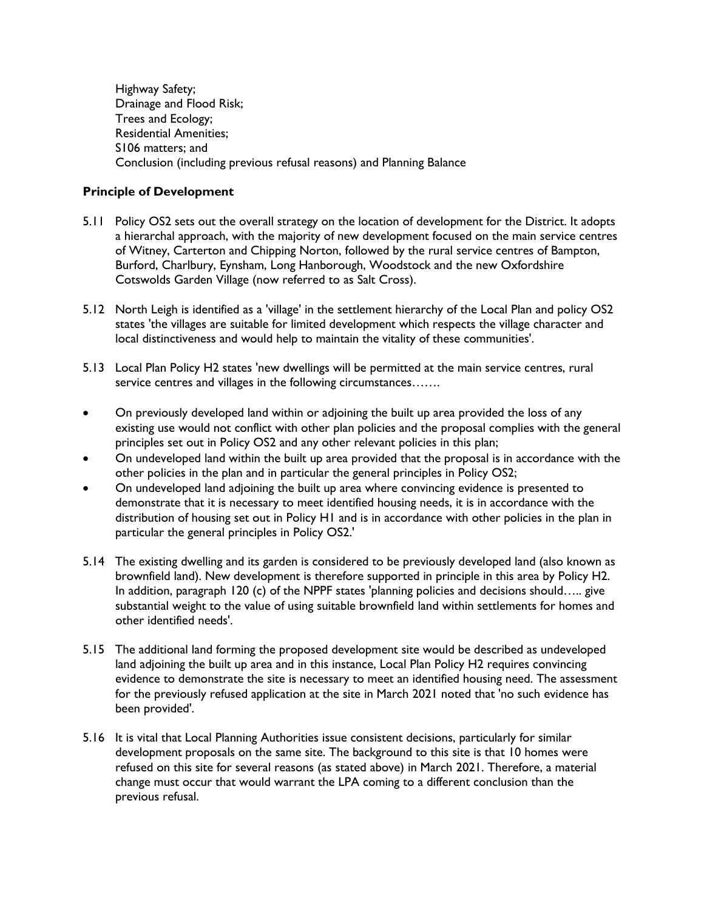Highway Safety; Drainage and Flood Risk; Trees and Ecology; Residential Amenities; S106 matters; and Conclusion (including previous refusal reasons) and Planning Balance

## **Principle of Development**

- 5.11 Policy OS2 sets out the overall strategy on the location of development for the District. It adopts a hierarchal approach, with the majority of new development focused on the main service centres of Witney, Carterton and Chipping Norton, followed by the rural service centres of Bampton, Burford, Charlbury, Eynsham, Long Hanborough, Woodstock and the new Oxfordshire Cotswolds Garden Village (now referred to as Salt Cross).
- 5.12 North Leigh is identified as a 'village' in the settlement hierarchy of the Local Plan and policy OS2 states 'the villages are suitable for limited development which respects the village character and local distinctiveness and would help to maintain the vitality of these communities'.
- 5.13 Local Plan Policy H2 states 'new dwellings will be permitted at the main service centres, rural service centres and villages in the following circumstances.......
- On previously developed land within or adjoining the built up area provided the loss of any existing use would not conflict with other plan policies and the proposal complies with the general principles set out in Policy OS2 and any other relevant policies in this plan;
- On undeveloped land within the built up area provided that the proposal is in accordance with the other policies in the plan and in particular the general principles in Policy OS2;
- On undeveloped land adjoining the built up area where convincing evidence is presented to demonstrate that it is necessary to meet identified housing needs, it is in accordance with the distribution of housing set out in Policy H1 and is in accordance with other policies in the plan in particular the general principles in Policy OS2.'
- 5.14 The existing dwelling and its garden is considered to be previously developed land (also known as brownfield land). New development is therefore supported in principle in this area by Policy H2. In addition, paragraph 120 (c) of the NPPF states 'planning policies and decisions should….. give substantial weight to the value of using suitable brownfield land within settlements for homes and other identified needs'.
- 5.15 The additional land forming the proposed development site would be described as undeveloped land adjoining the built up area and in this instance, Local Plan Policy H2 requires convincing evidence to demonstrate the site is necessary to meet an identified housing need. The assessment for the previously refused application at the site in March 2021 noted that 'no such evidence has been provided'.
- 5.16 It is vital that Local Planning Authorities issue consistent decisions, particularly for similar development proposals on the same site. The background to this site is that 10 homes were refused on this site for several reasons (as stated above) in March 2021. Therefore, a material change must occur that would warrant the LPA coming to a different conclusion than the previous refusal.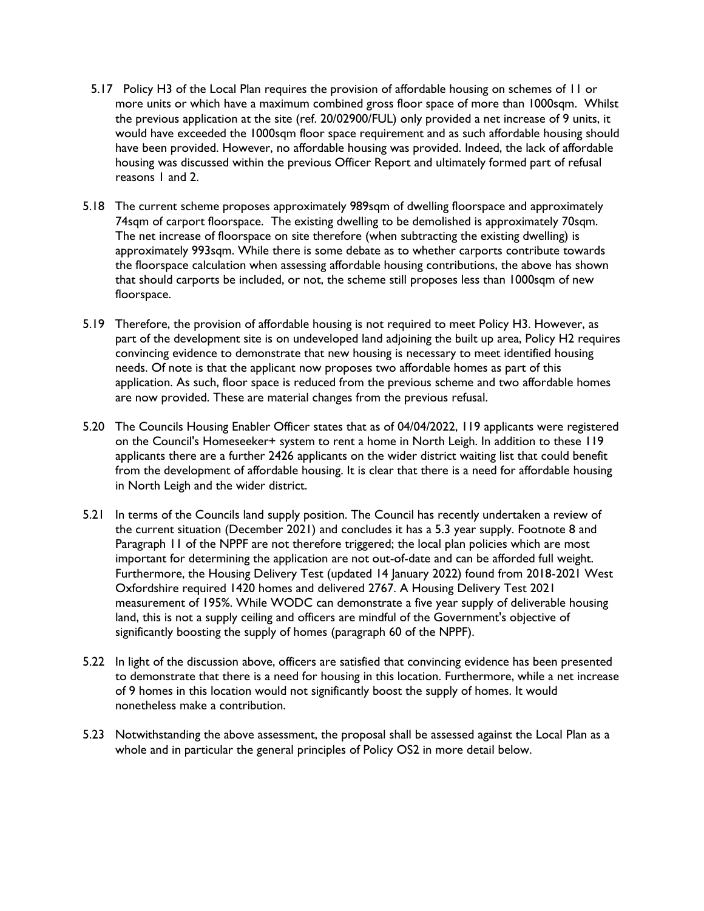- 5.17 Policy H3 of the Local Plan requires the provision of affordable housing on schemes of 11 or more units or which have a maximum combined gross floor space of more than 1000sqm. Whilst the previous application at the site (ref. 20/02900/FUL) only provided a net increase of 9 units, it would have exceeded the 1000sqm floor space requirement and as such affordable housing should have been provided. However, no affordable housing was provided. Indeed, the lack of affordable housing was discussed within the previous Officer Report and ultimately formed part of refusal reasons 1 and 2.
- 5.18 The current scheme proposes approximately 989sqm of dwelling floorspace and approximately 74sqm of carport floorspace. The existing dwelling to be demolished is approximately 70sqm. The net increase of floorspace on site therefore (when subtracting the existing dwelling) is approximately 993sqm. While there is some debate as to whether carports contribute towards the floorspace calculation when assessing affordable housing contributions, the above has shown that should carports be included, or not, the scheme still proposes less than 1000sqm of new floorspace.
- 5.19 Therefore, the provision of affordable housing is not required to meet Policy H3. However, as part of the development site is on undeveloped land adjoining the built up area, Policy H2 requires convincing evidence to demonstrate that new housing is necessary to meet identified housing needs. Of note is that the applicant now proposes two affordable homes as part of this application. As such, floor space is reduced from the previous scheme and two affordable homes are now provided. These are material changes from the previous refusal.
- 5.20 The Councils Housing Enabler Officer states that as of 04/04/2022, 119 applicants were registered on the Council's Homeseeker+ system to rent a home in North Leigh. In addition to these 119 applicants there are a further 2426 applicants on the wider district waiting list that could benefit from the development of affordable housing. It is clear that there is a need for affordable housing in North Leigh and the wider district.
- 5.21 In terms of the Councils land supply position. The Council has recently undertaken a review of the current situation (December 2021) and concludes it has a 5.3 year supply. Footnote 8 and Paragraph 11 of the NPPF are not therefore triggered; the local plan policies which are most important for determining the application are not out-of-date and can be afforded full weight. Furthermore, the Housing Delivery Test (updated 14 January 2022) found from 2018-2021 West Oxfordshire required 1420 homes and delivered 2767. A Housing Delivery Test 2021 measurement of 195%. While WODC can demonstrate a five year supply of deliverable housing land, this is not a supply ceiling and officers are mindful of the Government's objective of significantly boosting the supply of homes (paragraph 60 of the NPPF).
- 5.22 In light of the discussion above, officers are satisfied that convincing evidence has been presented to demonstrate that there is a need for housing in this location. Furthermore, while a net increase of 9 homes in this location would not significantly boost the supply of homes. It would nonetheless make a contribution.
- 5.23 Notwithstanding the above assessment, the proposal shall be assessed against the Local Plan as a whole and in particular the general principles of Policy OS2 in more detail below.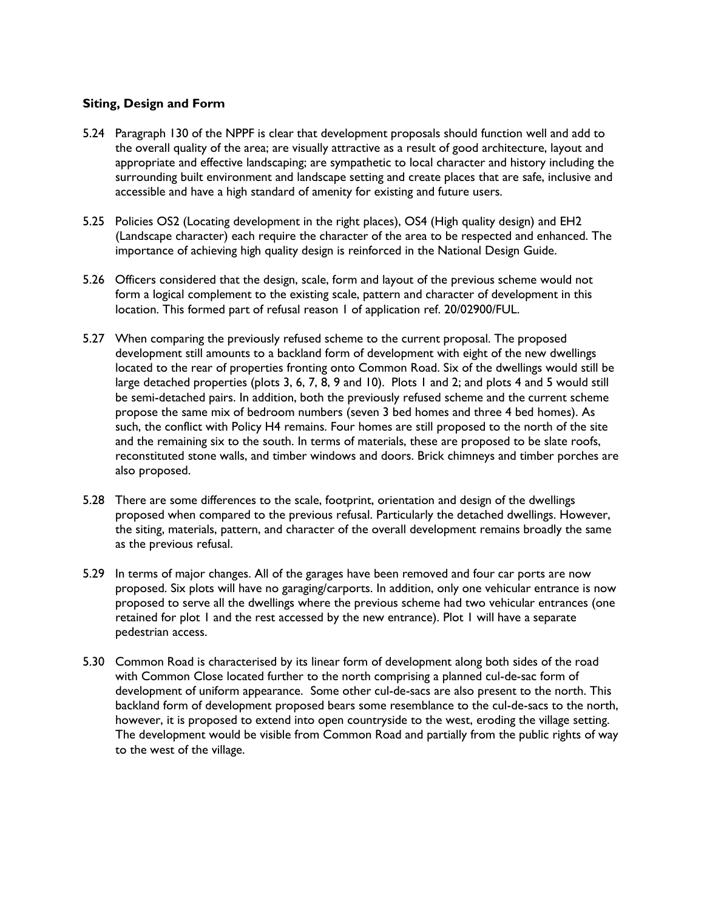## **Siting, Design and Form**

- 5.24 Paragraph 130 of the NPPF is clear that development proposals should function well and add to the overall quality of the area; are visually attractive as a result of good architecture, layout and appropriate and effective landscaping; are sympathetic to local character and history including the surrounding built environment and landscape setting and create places that are safe, inclusive and accessible and have a high standard of amenity for existing and future users.
- 5.25 Policies OS2 (Locating development in the right places), OS4 (High quality design) and EH2 (Landscape character) each require the character of the area to be respected and enhanced. The importance of achieving high quality design is reinforced in the National Design Guide.
- 5.26 Officers considered that the design, scale, form and layout of the previous scheme would not form a logical complement to the existing scale, pattern and character of development in this location. This formed part of refusal reason 1 of application ref. 20/02900/FUL.
- 5.27 When comparing the previously refused scheme to the current proposal. The proposed development still amounts to a backland form of development with eight of the new dwellings located to the rear of properties fronting onto Common Road. Six of the dwellings would still be large detached properties (plots 3, 6, 7, 8, 9 and 10). Plots 1 and 2; and plots 4 and 5 would still be semi-detached pairs. In addition, both the previously refused scheme and the current scheme propose the same mix of bedroom numbers (seven 3 bed homes and three 4 bed homes). As such, the conflict with Policy H4 remains. Four homes are still proposed to the north of the site and the remaining six to the south. In terms of materials, these are proposed to be slate roofs, reconstituted stone walls, and timber windows and doors. Brick chimneys and timber porches are also proposed.
- 5.28 There are some differences to the scale, footprint, orientation and design of the dwellings proposed when compared to the previous refusal. Particularly the detached dwellings. However, the siting, materials, pattern, and character of the overall development remains broadly the same as the previous refusal.
- 5.29 In terms of major changes. All of the garages have been removed and four car ports are now proposed. Six plots will have no garaging/carports. In addition, only one vehicular entrance is now proposed to serve all the dwellings where the previous scheme had two vehicular entrances (one retained for plot 1 and the rest accessed by the new entrance). Plot 1 will have a separate pedestrian access.
- 5.30 Common Road is characterised by its linear form of development along both sides of the road with Common Close located further to the north comprising a planned cul-de-sac form of development of uniform appearance. Some other cul-de-sacs are also present to the north. This backland form of development proposed bears some resemblance to the cul-de-sacs to the north, however, it is proposed to extend into open countryside to the west, eroding the village setting. The development would be visible from Common Road and partially from the public rights of way to the west of the village.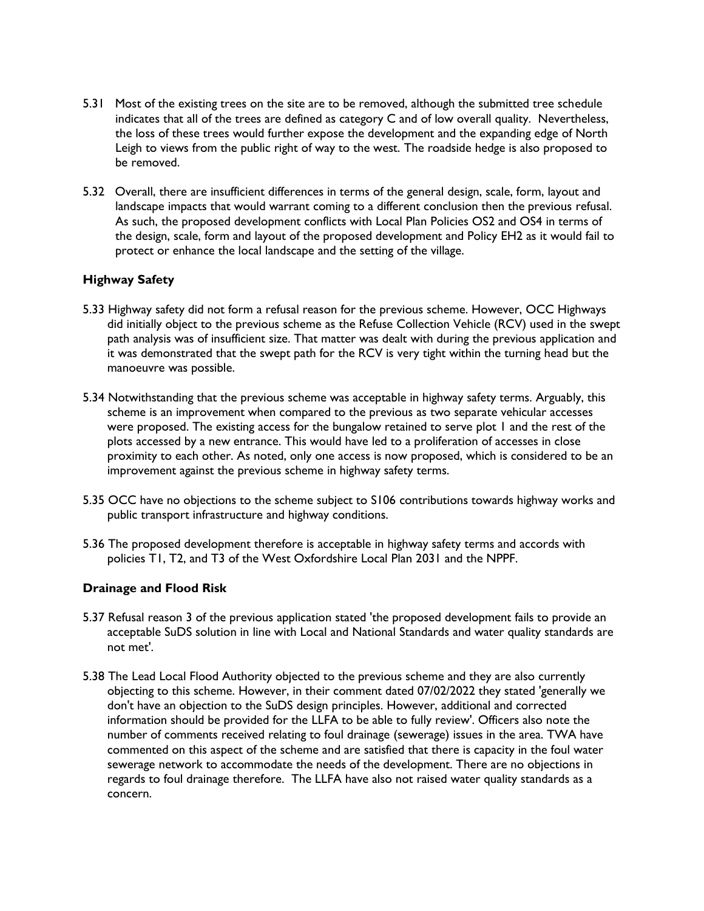- 5.31 Most of the existing trees on the site are to be removed, although the submitted tree schedule indicates that all of the trees are defined as category C and of low overall quality. Nevertheless, the loss of these trees would further expose the development and the expanding edge of North Leigh to views from the public right of way to the west. The roadside hedge is also proposed to be removed.
- 5.32 Overall, there are insufficient differences in terms of the general design, scale, form, layout and landscape impacts that would warrant coming to a different conclusion then the previous refusal. As such, the proposed development conflicts with Local Plan Policies OS2 and OS4 in terms of the design, scale, form and layout of the proposed development and Policy EH2 as it would fail to protect or enhance the local landscape and the setting of the village.

## **Highway Safety**

- 5.33 Highway safety did not form a refusal reason for the previous scheme. However, OCC Highways did initially object to the previous scheme as the Refuse Collection Vehicle (RCV) used in the swept path analysis was of insufficient size. That matter was dealt with during the previous application and it was demonstrated that the swept path for the RCV is very tight within the turning head but the manoeuvre was possible.
- 5.34 Notwithstanding that the previous scheme was acceptable in highway safety terms. Arguably, this scheme is an improvement when compared to the previous as two separate vehicular accesses were proposed. The existing access for the bungalow retained to serve plot 1 and the rest of the plots accessed by a new entrance. This would have led to a proliferation of accesses in close proximity to each other. As noted, only one access is now proposed, which is considered to be an improvement against the previous scheme in highway safety terms.
- 5.35 OCC have no objections to the scheme subject to S106 contributions towards highway works and public transport infrastructure and highway conditions.
- 5.36 The proposed development therefore is acceptable in highway safety terms and accords with policies T1, T2, and T3 of the West Oxfordshire Local Plan 2031 and the NPPF.

#### **Drainage and Flood Risk**

- 5.37 Refusal reason 3 of the previous application stated 'the proposed development fails to provide an acceptable SuDS solution in line with Local and National Standards and water quality standards are not met'.
- 5.38 The Lead Local Flood Authority objected to the previous scheme and they are also currently objecting to this scheme. However, in their comment dated 07/02/2022 they stated 'generally we don't have an objection to the SuDS design principles. However, additional and corrected information should be provided for the LLFA to be able to fully review'. Officers also note the number of comments received relating to foul drainage (sewerage) issues in the area. TWA have commented on this aspect of the scheme and are satisfied that there is capacity in the foul water sewerage network to accommodate the needs of the development. There are no objections in regards to foul drainage therefore. The LLFA have also not raised water quality standards as a concern.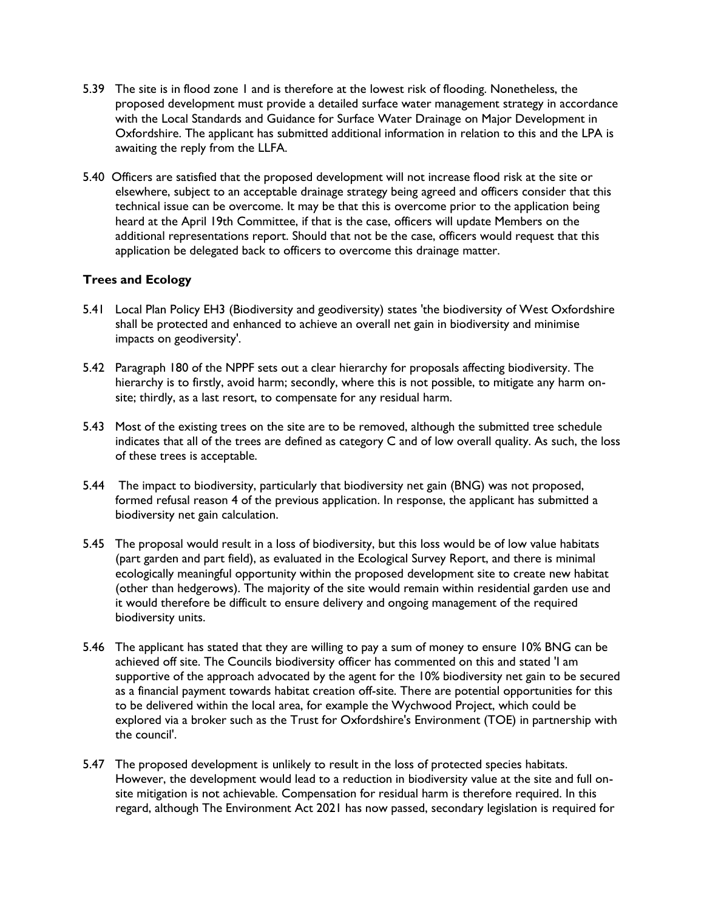- 5.39 The site is in flood zone 1 and is therefore at the lowest risk of flooding. Nonetheless, the proposed development must provide a detailed surface water management strategy in accordance with the Local Standards and Guidance for Surface Water Drainage on Major Development in Oxfordshire. The applicant has submitted additional information in relation to this and the LPA is awaiting the reply from the LLFA.
- 5.40 Officers are satisfied that the proposed development will not increase flood risk at the site or elsewhere, subject to an acceptable drainage strategy being agreed and officers consider that this technical issue can be overcome. It may be that this is overcome prior to the application being heard at the April 19th Committee, if that is the case, officers will update Members on the additional representations report. Should that not be the case, officers would request that this application be delegated back to officers to overcome this drainage matter.

# **Trees and Ecology**

- 5.41 Local Plan Policy EH3 (Biodiversity and geodiversity) states 'the biodiversity of West Oxfordshire shall be protected and enhanced to achieve an overall net gain in biodiversity and minimise impacts on geodiversity'.
- 5.42 Paragraph 180 of the NPPF sets out a clear hierarchy for proposals affecting biodiversity. The hierarchy is to firstly, avoid harm; secondly, where this is not possible, to mitigate any harm onsite; thirdly, as a last resort, to compensate for any residual harm.
- 5.43 Most of the existing trees on the site are to be removed, although the submitted tree schedule indicates that all of the trees are defined as category C and of low overall quality. As such, the loss of these trees is acceptable.
- 5.44 The impact to biodiversity, particularly that biodiversity net gain (BNG) was not proposed, formed refusal reason 4 of the previous application. In response, the applicant has submitted a biodiversity net gain calculation.
- 5.45 The proposal would result in a loss of biodiversity, but this loss would be of low value habitats (part garden and part field), as evaluated in the Ecological Survey Report, and there is minimal ecologically meaningful opportunity within the proposed development site to create new habitat (other than hedgerows). The majority of the site would remain within residential garden use and it would therefore be difficult to ensure delivery and ongoing management of the required biodiversity units.
- 5.46 The applicant has stated that they are willing to pay a sum of money to ensure 10% BNG can be achieved off site. The Councils biodiversity officer has commented on this and stated 'I am supportive of the approach advocated by the agent for the 10% biodiversity net gain to be secured as a financial payment towards habitat creation off-site. There are potential opportunities for this to be delivered within the local area, for example the Wychwood Project, which could be explored via a broker such as the Trust for Oxfordshire's Environment (TOE) in partnership with the council'.
- 5.47 The proposed development is unlikely to result in the loss of protected species habitats. However, the development would lead to a reduction in biodiversity value at the site and full onsite mitigation is not achievable. Compensation for residual harm is therefore required. In this regard, although The Environment Act 2021 has now passed, secondary legislation is required for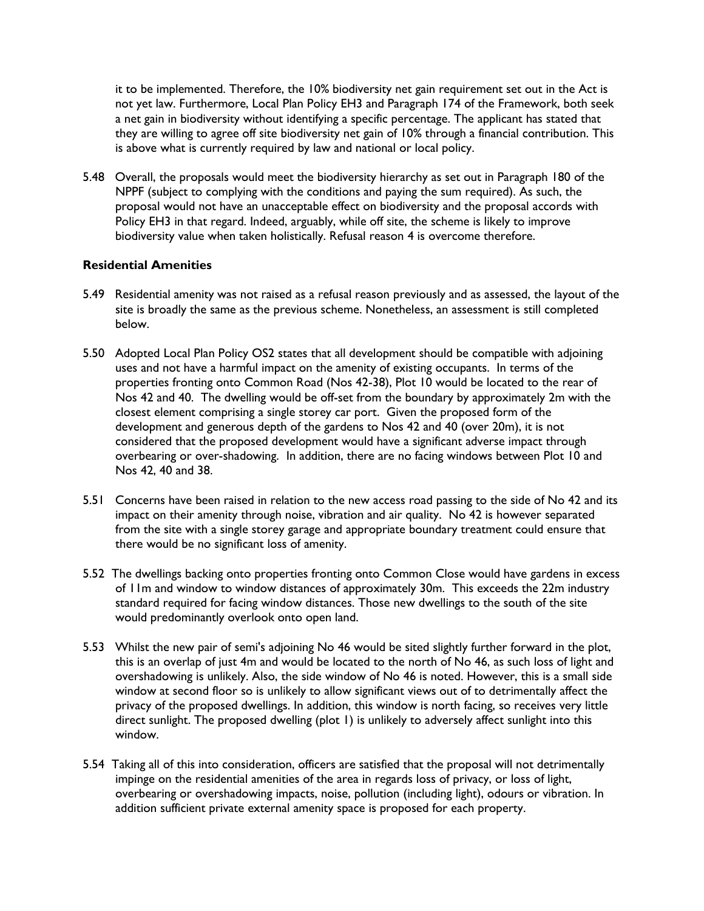it to be implemented. Therefore, the 10% biodiversity net gain requirement set out in the Act is not yet law. Furthermore, Local Plan Policy EH3 and Paragraph 174 of the Framework, both seek a net gain in biodiversity without identifying a specific percentage. The applicant has stated that they are willing to agree off site biodiversity net gain of 10% through a financial contribution. This is above what is currently required by law and national or local policy.

5.48 Overall, the proposals would meet the biodiversity hierarchy as set out in Paragraph 180 of the NPPF (subject to complying with the conditions and paying the sum required). As such, the proposal would not have an unacceptable effect on biodiversity and the proposal accords with Policy EH3 in that regard. Indeed, arguably, while off site, the scheme is likely to improve biodiversity value when taken holistically. Refusal reason 4 is overcome therefore.

## **Residential Amenities**

- 5.49 Residential amenity was not raised as a refusal reason previously and as assessed, the layout of the site is broadly the same as the previous scheme. Nonetheless, an assessment is still completed below.
- 5.50 Adopted Local Plan Policy OS2 states that all development should be compatible with adjoining uses and not have a harmful impact on the amenity of existing occupants. In terms of the properties fronting onto Common Road (Nos 42-38), Plot 10 would be located to the rear of Nos 42 and 40. The dwelling would be off-set from the boundary by approximately 2m with the closest element comprising a single storey car port. Given the proposed form of the development and generous depth of the gardens to Nos 42 and 40 (over 20m), it is not considered that the proposed development would have a significant adverse impact through overbearing or over-shadowing. In addition, there are no facing windows between Plot 10 and Nos 42, 40 and 38.
- 5.51 Concerns have been raised in relation to the new access road passing to the side of No 42 and its impact on their amenity through noise, vibration and air quality. No 42 is however separated from the site with a single storey garage and appropriate boundary treatment could ensure that there would be no significant loss of amenity.
- 5.52 The dwellings backing onto properties fronting onto Common Close would have gardens in excess of 11m and window to window distances of approximately 30m. This exceeds the 22m industry standard required for facing window distances. Those new dwellings to the south of the site would predominantly overlook onto open land.
- 5.53 Whilst the new pair of semi's adjoining No 46 would be sited slightly further forward in the plot, this is an overlap of just 4m and would be located to the north of No 46, as such loss of light and overshadowing is unlikely. Also, the side window of No 46 is noted. However, this is a small side window at second floor so is unlikely to allow significant views out of to detrimentally affect the privacy of the proposed dwellings. In addition, this window is north facing, so receives very little direct sunlight. The proposed dwelling (plot 1) is unlikely to adversely affect sunlight into this window.
- 5.54 Taking all of this into consideration, officers are satisfied that the proposal will not detrimentally impinge on the residential amenities of the area in regards loss of privacy, or loss of light, overbearing or overshadowing impacts, noise, pollution (including light), odours or vibration. In addition sufficient private external amenity space is proposed for each property.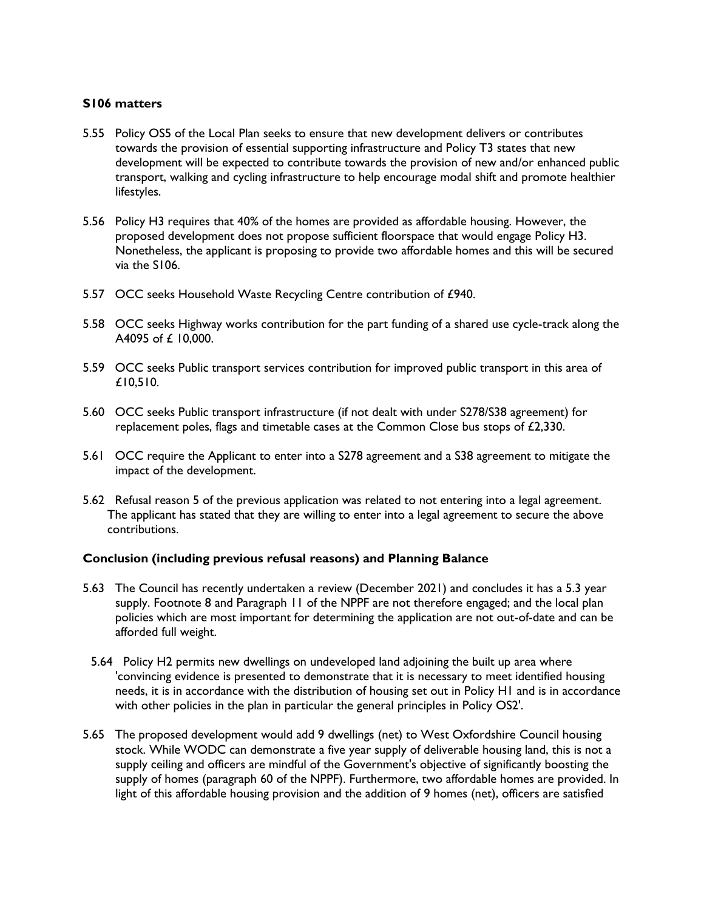#### **S106 matters**

- 5.55 Policy OS5 of the Local Plan seeks to ensure that new development delivers or contributes towards the provision of essential supporting infrastructure and Policy T3 states that new development will be expected to contribute towards the provision of new and/or enhanced public transport, walking and cycling infrastructure to help encourage modal shift and promote healthier lifestyles.
- 5.56 Policy H3 requires that 40% of the homes are provided as affordable housing. However, the proposed development does not propose sufficient floorspace that would engage Policy H3. Nonetheless, the applicant is proposing to provide two affordable homes and this will be secured via the S106.
- 5.57 OCC seeks Household Waste Recycling Centre contribution of £940.
- 5.58 OCC seeks Highway works contribution for the part funding of a shared use cycle-track along the A4095 of £ 10,000.
- 5.59 OCC seeks Public transport services contribution for improved public transport in this area of £10,510.
- 5.60 OCC seeks Public transport infrastructure (if not dealt with under S278/S38 agreement) for replacement poles, flags and timetable cases at the Common Close bus stops of £2,330.
- 5.61 OCC require the Applicant to enter into a S278 agreement and a S38 agreement to mitigate the impact of the development.
- 5.62 Refusal reason 5 of the previous application was related to not entering into a legal agreement. The applicant has stated that they are willing to enter into a legal agreement to secure the above contributions.

#### **Conclusion (including previous refusal reasons) and Planning Balance**

- 5.63 The Council has recently undertaken a review (December 2021) and concludes it has a 5.3 year supply. Footnote 8 and Paragraph 11 of the NPPF are not therefore engaged; and the local plan policies which are most important for determining the application are not out-of-date and can be afforded full weight.
- 5.64 Policy H2 permits new dwellings on undeveloped land adjoining the built up area where 'convincing evidence is presented to demonstrate that it is necessary to meet identified housing needs, it is in accordance with the distribution of housing set out in Policy H1 and is in accordance with other policies in the plan in particular the general principles in Policy OS2'.
- 5.65 The proposed development would add 9 dwellings (net) to West Oxfordshire Council housing stock. While WODC can demonstrate a five year supply of deliverable housing land, this is not a supply ceiling and officers are mindful of the Government's objective of significantly boosting the supply of homes (paragraph 60 of the NPPF). Furthermore, two affordable homes are provided. In light of this affordable housing provision and the addition of 9 homes (net), officers are satisfied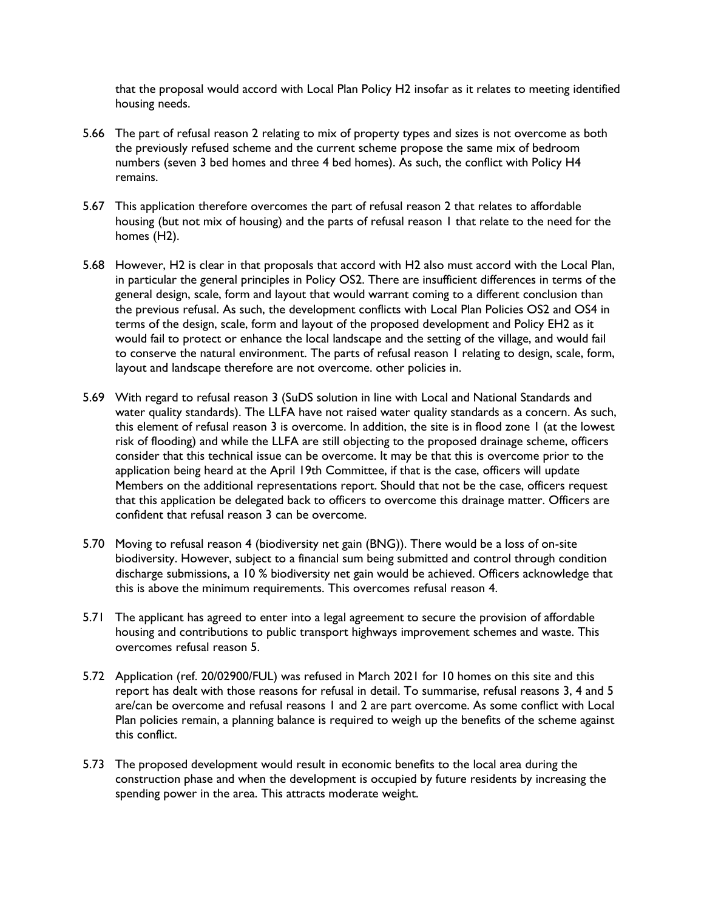that the proposal would accord with Local Plan Policy H2 insofar as it relates to meeting identified housing needs.

- 5.66 The part of refusal reason 2 relating to mix of property types and sizes is not overcome as both the previously refused scheme and the current scheme propose the same mix of bedroom numbers (seven 3 bed homes and three 4 bed homes). As such, the conflict with Policy H4 remains.
- 5.67 This application therefore overcomes the part of refusal reason 2 that relates to affordable housing (but not mix of housing) and the parts of refusal reason 1 that relate to the need for the homes (H2).
- 5.68 However, H2 is clear in that proposals that accord with H2 also must accord with the Local Plan, in particular the general principles in Policy OS2. There are insufficient differences in terms of the general design, scale, form and layout that would warrant coming to a different conclusion than the previous refusal. As such, the development conflicts with Local Plan Policies OS2 and OS4 in terms of the design, scale, form and layout of the proposed development and Policy EH2 as it would fail to protect or enhance the local landscape and the setting of the village, and would fail to conserve the natural environment. The parts of refusal reason 1 relating to design, scale, form, layout and landscape therefore are not overcome. other policies in.
- 5.69 With regard to refusal reason 3 (SuDS solution in line with Local and National Standards and water quality standards). The LLFA have not raised water quality standards as a concern. As such, this element of refusal reason 3 is overcome. In addition, the site is in flood zone 1 (at the lowest risk of flooding) and while the LLFA are still objecting to the proposed drainage scheme, officers consider that this technical issue can be overcome. It may be that this is overcome prior to the application being heard at the April 19th Committee, if that is the case, officers will update Members on the additional representations report. Should that not be the case, officers request that this application be delegated back to officers to overcome this drainage matter. Officers are confident that refusal reason 3 can be overcome.
- 5.70 Moving to refusal reason 4 (biodiversity net gain (BNG)). There would be a loss of on-site biodiversity. However, subject to a financial sum being submitted and control through condition discharge submissions, a 10 % biodiversity net gain would be achieved. Officers acknowledge that this is above the minimum requirements. This overcomes refusal reason 4.
- 5.71 The applicant has agreed to enter into a legal agreement to secure the provision of affordable housing and contributions to public transport highways improvement schemes and waste. This overcomes refusal reason 5.
- 5.72 Application (ref. 20/02900/FUL) was refused in March 2021 for 10 homes on this site and this report has dealt with those reasons for refusal in detail. To summarise, refusal reasons 3, 4 and 5 are/can be overcome and refusal reasons 1 and 2 are part overcome. As some conflict with Local Plan policies remain, a planning balance is required to weigh up the benefits of the scheme against this conflict.
- 5.73 The proposed development would result in economic benefits to the local area during the construction phase and when the development is occupied by future residents by increasing the spending power in the area. This attracts moderate weight.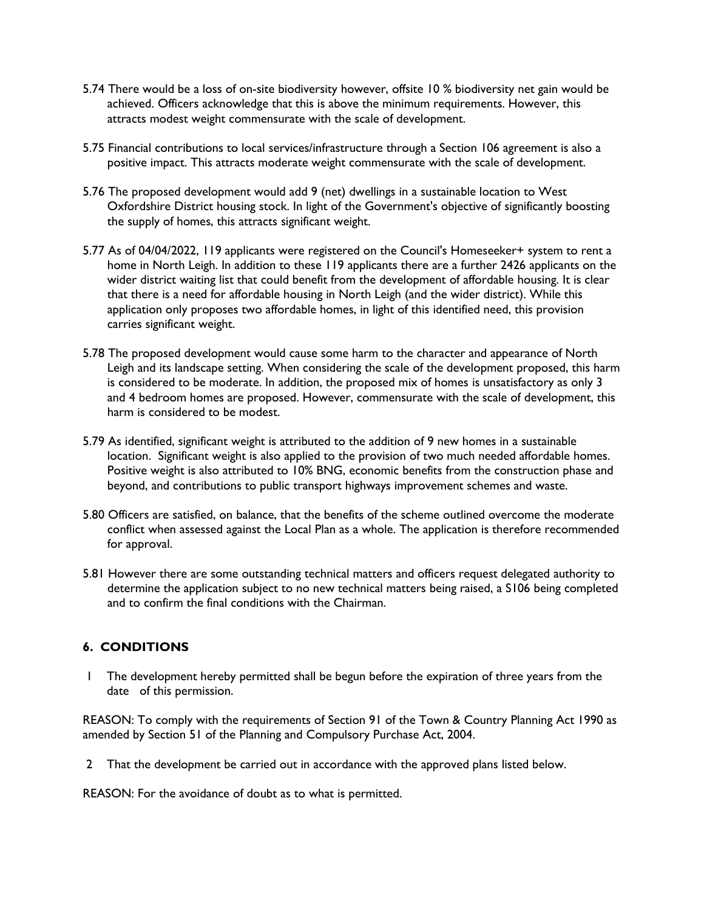- 5.74 There would be a loss of on-site biodiversity however, offsite 10 % biodiversity net gain would be achieved. Officers acknowledge that this is above the minimum requirements. However, this attracts modest weight commensurate with the scale of development.
- 5.75 Financial contributions to local services/infrastructure through a Section 106 agreement is also a positive impact. This attracts moderate weight commensurate with the scale of development.
- 5.76 The proposed development would add 9 (net) dwellings in a sustainable location to West Oxfordshire District housing stock. In light of the Government's objective of significantly boosting the supply of homes, this attracts significant weight.
- 5.77 As of 04/04/2022, 119 applicants were registered on the Council's Homeseeker+ system to rent a home in North Leigh. In addition to these 119 applicants there are a further 2426 applicants on the wider district waiting list that could benefit from the development of affordable housing. It is clear that there is a need for affordable housing in North Leigh (and the wider district). While this application only proposes two affordable homes, in light of this identified need, this provision carries significant weight.
- 5.78 The proposed development would cause some harm to the character and appearance of North Leigh and its landscape setting. When considering the scale of the development proposed, this harm is considered to be moderate. In addition, the proposed mix of homes is unsatisfactory as only 3 and 4 bedroom homes are proposed. However, commensurate with the scale of development, this harm is considered to be modest.
- 5.79 As identified, significant weight is attributed to the addition of 9 new homes in a sustainable location. Significant weight is also applied to the provision of two much needed affordable homes. Positive weight is also attributed to 10% BNG, economic benefits from the construction phase and beyond, and contributions to public transport highways improvement schemes and waste.
- 5.80 Officers are satisfied, on balance, that the benefits of the scheme outlined overcome the moderate conflict when assessed against the Local Plan as a whole. The application is therefore recommended for approval.
- 5.81 However there are some outstanding technical matters and officers request delegated authority to determine the application subject to no new technical matters being raised, a S106 being completed and to confirm the final conditions with the Chairman.

# **6. CONDITIONS**

1 The development hereby permitted shall be begun before the expiration of three years from the date of this permission.

REASON: To comply with the requirements of Section 91 of the Town & Country Planning Act 1990 as amended by Section 51 of the Planning and Compulsory Purchase Act, 2004.

2 That the development be carried out in accordance with the approved plans listed below.

REASON: For the avoidance of doubt as to what is permitted.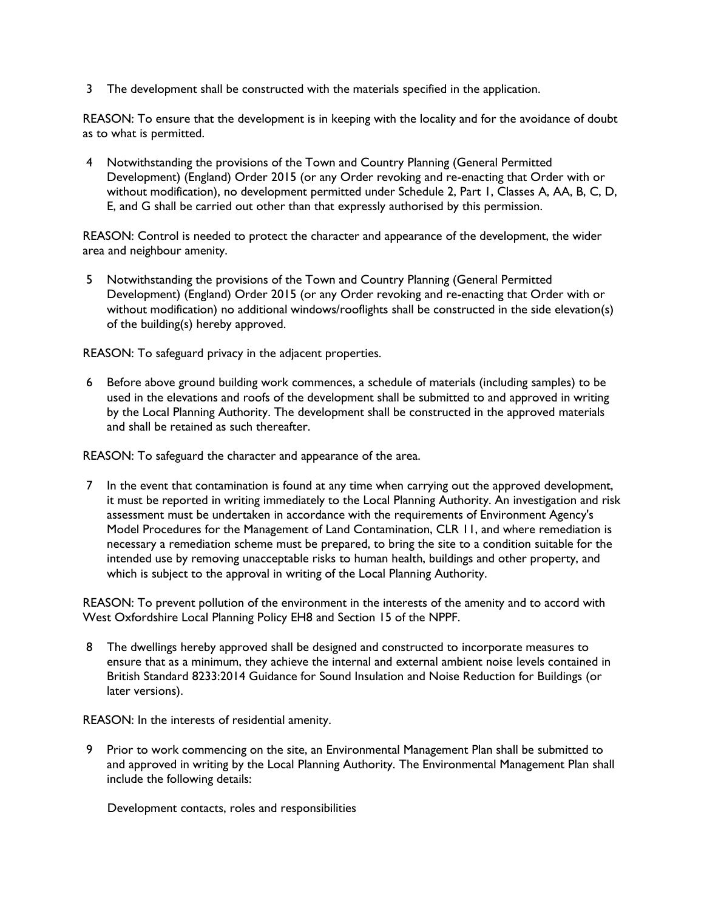3 The development shall be constructed with the materials specified in the application.

REASON: To ensure that the development is in keeping with the locality and for the avoidance of doubt as to what is permitted.

4 Notwithstanding the provisions of the Town and Country Planning (General Permitted Development) (England) Order 2015 (or any Order revoking and re-enacting that Order with or without modification), no development permitted under Schedule 2, Part 1, Classes A, AA, B, C, D, E, and G shall be carried out other than that expressly authorised by this permission.

REASON: Control is needed to protect the character and appearance of the development, the wider area and neighbour amenity.

5 Notwithstanding the provisions of the Town and Country Planning (General Permitted Development) (England) Order 2015 (or any Order revoking and re-enacting that Order with or without modification) no additional windows/rooflights shall be constructed in the side elevation(s) of the building(s) hereby approved.

REASON: To safeguard privacy in the adjacent properties.

6 Before above ground building work commences, a schedule of materials (including samples) to be used in the elevations and roofs of the development shall be submitted to and approved in writing by the Local Planning Authority. The development shall be constructed in the approved materials and shall be retained as such thereafter.

REASON: To safeguard the character and appearance of the area.

7 In the event that contamination is found at any time when carrying out the approved development, it must be reported in writing immediately to the Local Planning Authority. An investigation and risk assessment must be undertaken in accordance with the requirements of Environment Agency's Model Procedures for the Management of Land Contamination, CLR 11, and where remediation is necessary a remediation scheme must be prepared, to bring the site to a condition suitable for the intended use by removing unacceptable risks to human health, buildings and other property, and which is subject to the approval in writing of the Local Planning Authority.

REASON: To prevent pollution of the environment in the interests of the amenity and to accord with West Oxfordshire Local Planning Policy EH8 and Section 15 of the NPPF.

8 The dwellings hereby approved shall be designed and constructed to incorporate measures to ensure that as a minimum, they achieve the internal and external ambient noise levels contained in British Standard 8233:2014 Guidance for Sound Insulation and Noise Reduction for Buildings (or later versions).

REASON: In the interests of residential amenity.

9 Prior to work commencing on the site, an Environmental Management Plan shall be submitted to and approved in writing by the Local Planning Authority. The Environmental Management Plan shall include the following details:

Development contacts, roles and responsibilities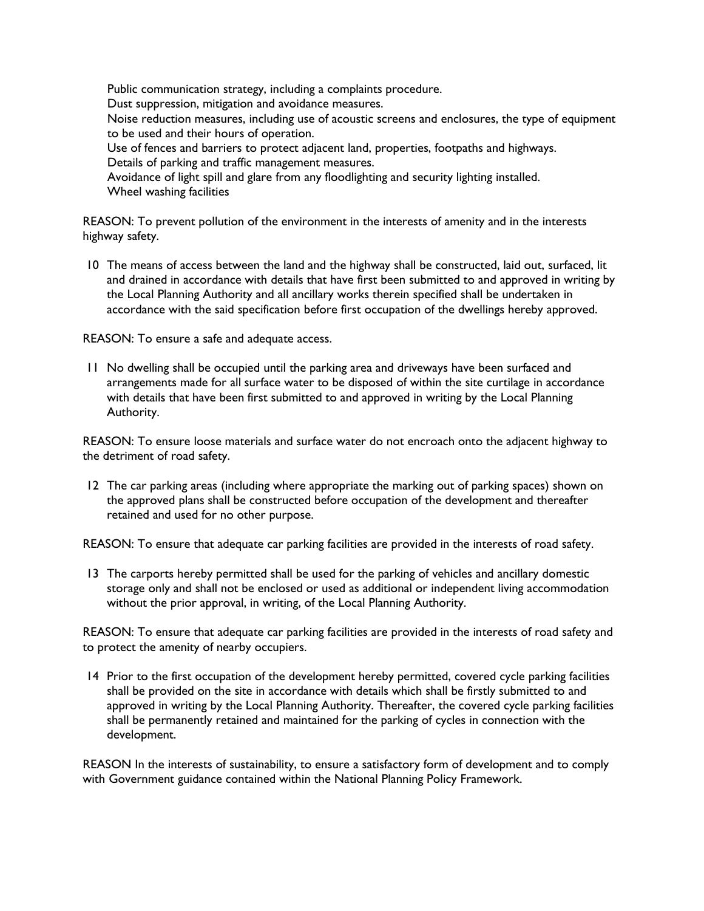Public communication strategy, including a complaints procedure. Dust suppression, mitigation and avoidance measures. Noise reduction measures, including use of acoustic screens and enclosures, the type of equipment to be used and their hours of operation. Use of fences and barriers to protect adjacent land, properties, footpaths and highways. Details of parking and traffic management measures. Avoidance of light spill and glare from any floodlighting and security lighting installed. Wheel washing facilities

REASON: To prevent pollution of the environment in the interests of amenity and in the interests highway safety.

10 The means of access between the land and the highway shall be constructed, laid out, surfaced, lit and drained in accordance with details that have first been submitted to and approved in writing by the Local Planning Authority and all ancillary works therein specified shall be undertaken in accordance with the said specification before first occupation of the dwellings hereby approved.

REASON: To ensure a safe and adequate access.

11 No dwelling shall be occupied until the parking area and driveways have been surfaced and arrangements made for all surface water to be disposed of within the site curtilage in accordance with details that have been first submitted to and approved in writing by the Local Planning Authority.

REASON: To ensure loose materials and surface water do not encroach onto the adjacent highway to the detriment of road safety.

12 The car parking areas (including where appropriate the marking out of parking spaces) shown on the approved plans shall be constructed before occupation of the development and thereafter retained and used for no other purpose.

REASON: To ensure that adequate car parking facilities are provided in the interests of road safety.

13 The carports hereby permitted shall be used for the parking of vehicles and ancillary domestic storage only and shall not be enclosed or used as additional or independent living accommodation without the prior approval, in writing, of the Local Planning Authority.

REASON: To ensure that adequate car parking facilities are provided in the interests of road safety and to protect the amenity of nearby occupiers.

14 Prior to the first occupation of the development hereby permitted, covered cycle parking facilities shall be provided on the site in accordance with details which shall be firstly submitted to and approved in writing by the Local Planning Authority. Thereafter, the covered cycle parking facilities shall be permanently retained and maintained for the parking of cycles in connection with the development.

REASON In the interests of sustainability, to ensure a satisfactory form of development and to comply with Government guidance contained within the National Planning Policy Framework.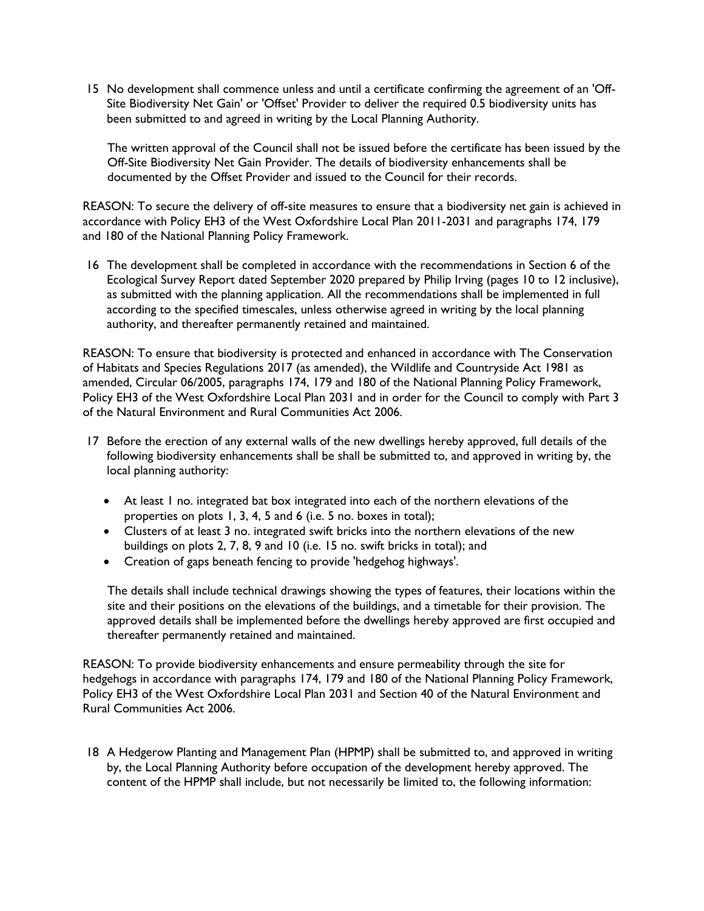15 No development shall commence unless and until a certificate confirming the agreement of an 'Off-Site Biodiversity Net Gain' or 'Offset' Provider to deliver the required 0.5 biodiversity units has been submitted to and agreed in writing by the Local Planning Authority.

The written approval of the Council shall not be issued before the certificate has been issued by the Off-Site Biodiversity Net Gain Provider. The details of biodiversity enhancements shall be documented by the Offset Provider and issued to the Council for their records.

REASON: To secure the delivery of off-site measures to ensure that a biodiversity net gain is achieved in accordance with Policy EH3 of the West Oxfordshire Local Plan 2011-2031 and paragraphs 174, 179 and 180 of the National Planning Policy Framework.

16 The development shall be completed in accordance with the recommendations in Section 6 of the Ecological Survey Report dated September 2020 prepared by Philip Irving (pages 10 to 12 inclusive), as submitted with the planning application. All the recommendations shall be implemented in full according to the specified timescales, unless otherwise agreed in writing by the local planning authority, and thereafter permanently retained and maintained.

REASON: To ensure that biodiversity is protected and enhanced in accordance with The Conservation of Habitats and Species Regulations 2017 (as amended), the Wildlife and Countryside Act 1981 as amended, Circular 06/2005, paragraphs 174, 179 and 180 of the National Planning Policy Framework, Policy EH3 of the West Oxfordshire Local Plan 2031 and in order for the Council to comply with Part 3 of the Natural Environment and Rural Communities Act 2006.

- 17 Before the erection of any external walls of the new dwellings hereby approved, full details of the following biodiversity enhancements shall be shall be submitted to, and approved in writing by, the local planning authority:
	- At least 1 no. integrated bat box integrated into each of the northern elevations of the properties on plots 1, 3, 4, 5 and 6 (i.e. 5 no. boxes in total);
	- Clusters of at least 3 no. integrated swift bricks into the northern elevations of the new buildings on plots 2, 7, 8, 9 and 10 (i.e. 15 no. swift bricks in total); and
	- Creation of gaps beneath fencing to provide 'hedgehog highways'.

The details shall include technical drawings showing the types of features, their locations within the site and their positions on the elevations of the buildings, and a timetable for their provision. The approved details shall be implemented before the dwellings hereby approved are first occupied and thereafter permanently retained and maintained.

REASON: To provide biodiversity enhancements and ensure permeability through the site for hedgehogs in accordance with paragraphs 174, 179 and 180 of the National Planning Policy Framework, Policy EH3 of the West Oxfordshire Local Plan 2031 and Section 40 of the Natural Environment and Rural Communities Act 2006.

18 A Hedgerow Planting and Management Plan (HPMP) shall be submitted to, and approved in writing by, the Local Planning Authority before occupation of the development hereby approved. The content of the HPMP shall include, but not necessarily be limited to, the following information: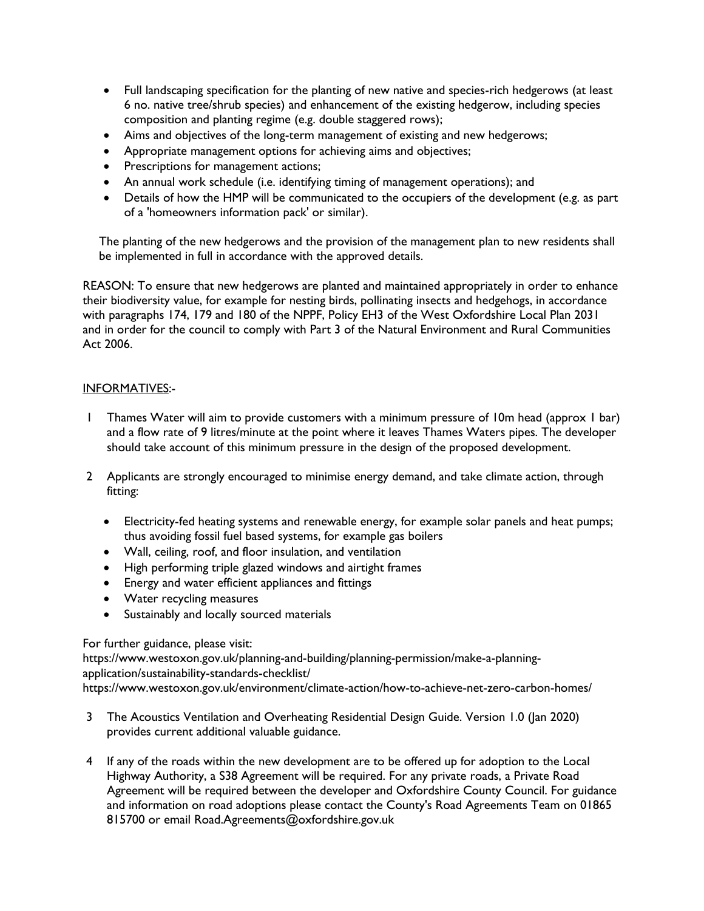- Full landscaping specification for the planting of new native and species-rich hedgerows (at least 6 no. native tree/shrub species) and enhancement of the existing hedgerow, including species composition and planting regime (e.g. double staggered rows);
- Aims and objectives of the long-term management of existing and new hedgerows;
- Appropriate management options for achieving aims and objectives;
- Prescriptions for management actions;
- An annual work schedule (i.e. identifying timing of management operations); and
- Details of how the HMP will be communicated to the occupiers of the development (e.g. as part of a 'homeowners information pack' or similar).

The planting of the new hedgerows and the provision of the management plan to new residents shall be implemented in full in accordance with the approved details.

REASON: To ensure that new hedgerows are planted and maintained appropriately in order to enhance their biodiversity value, for example for nesting birds, pollinating insects and hedgehogs, in accordance with paragraphs 174, 179 and 180 of the NPPF, Policy EH3 of the West Oxfordshire Local Plan 2031 and in order for the council to comply with Part 3 of the Natural Environment and Rural Communities Act 2006.

# INFORMATIVES:-

- 1 Thames Water will aim to provide customers with a minimum pressure of 10m head (approx 1 bar) and a flow rate of 9 litres/minute at the point where it leaves Thames Waters pipes. The developer should take account of this minimum pressure in the design of the proposed development.
- 2 Applicants are strongly encouraged to minimise energy demand, and take climate action, through fitting:
	- Electricity-fed heating systems and renewable energy, for example solar panels and heat pumps; thus avoiding fossil fuel based systems, for example gas boilers
	- Wall, ceiling, roof, and floor insulation, and ventilation
	- High performing triple glazed windows and airtight frames
	- Energy and water efficient appliances and fittings
	- Water recycling measures
	- Sustainably and locally sourced materials

# For further guidance, please visit:

https://www.westoxon.gov.uk/planning-and-building/planning-permission/make-a-planningapplication/sustainability-standards-checklist/ https://www.westoxon.gov.uk/environment/climate-action/how-to-achieve-net-zero-carbon-homes/

- 3 The Acoustics Ventilation and Overheating Residential Design Guide. Version 1.0 (Jan 2020) provides current additional valuable guidance.
- 4 If any of the roads within the new development are to be offered up for adoption to the Local Highway Authority, a S38 Agreement will be required. For any private roads, a Private Road Agreement will be required between the developer and Oxfordshire County Council. For guidance and information on road adoptions please contact the County's Road Agreements Team on 01865 815700 or email Road.Agreements@oxfordshire.gov.uk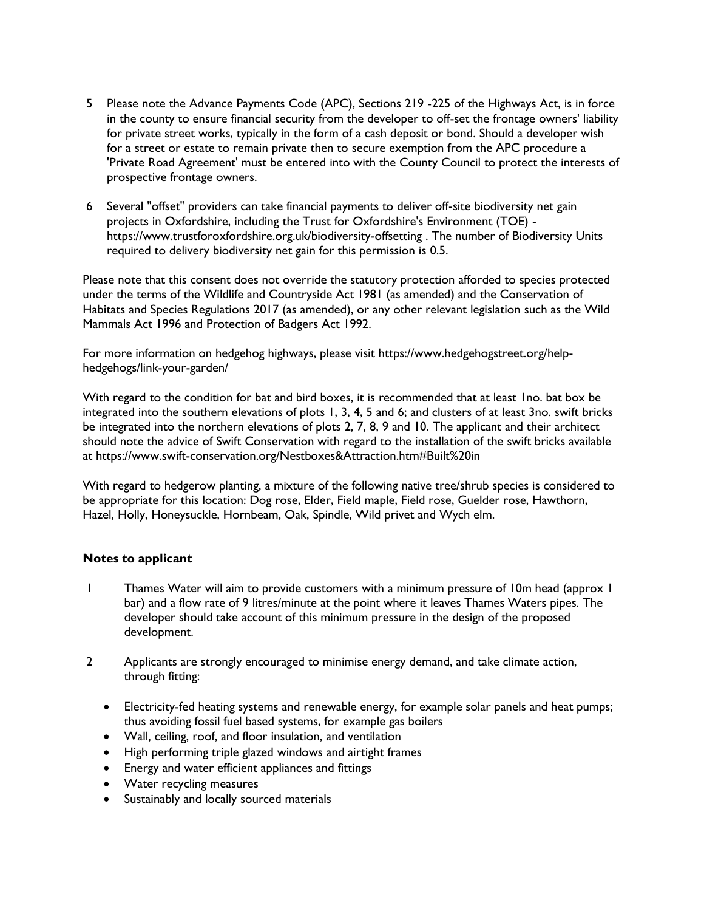- 5 Please note the Advance Payments Code (APC), Sections 219 -225 of the Highways Act, is in force in the county to ensure financial security from the developer to off-set the frontage owners' liability for private street works, typically in the form of a cash deposit or bond. Should a developer wish for a street or estate to remain private then to secure exemption from the APC procedure a 'Private Road Agreement' must be entered into with the County Council to protect the interests of prospective frontage owners.
- 6 Several "offset" providers can take financial payments to deliver off-site biodiversity net gain projects in Oxfordshire, including the Trust for Oxfordshire's Environment (TOE) https://www.trustforoxfordshire.org.uk/biodiversity-offsetting . The number of Biodiversity Units required to delivery biodiversity net gain for this permission is 0.5.

Please note that this consent does not override the statutory protection afforded to species protected under the terms of the Wildlife and Countryside Act 1981 (as amended) and the Conservation of Habitats and Species Regulations 2017 (as amended), or any other relevant legislation such as the Wild Mammals Act 1996 and Protection of Badgers Act 1992.

For more information on hedgehog highways, please visit https://www.hedgehogstreet.org/helphedgehogs/link-your-garden/

With regard to the condition for bat and bird boxes, it is recommended that at least 1no. bat box be integrated into the southern elevations of plots 1, 3, 4, 5 and 6; and clusters of at least 3no. swift bricks be integrated into the northern elevations of plots 2, 7, 8, 9 and 10. The applicant and their architect should note the advice of Swift Conservation with regard to the installation of the swift bricks available at https://www.swift-conservation.org/Nestboxes&Attraction.htm#Built%20in

With regard to hedgerow planting, a mixture of the following native tree/shrub species is considered to be appropriate for this location: Dog rose, Elder, Field maple, Field rose, Guelder rose, Hawthorn, Hazel, Holly, Honeysuckle, Hornbeam, Oak, Spindle, Wild privet and Wych elm.

#### **Notes to applicant**

- 1 Thames Water will aim to provide customers with a minimum pressure of 10m head (approx 1 bar) and a flow rate of 9 litres/minute at the point where it leaves Thames Waters pipes. The developer should take account of this minimum pressure in the design of the proposed development.
- 2 Applicants are strongly encouraged to minimise energy demand, and take climate action, through fitting:
	- Electricity-fed heating systems and renewable energy, for example solar panels and heat pumps; thus avoiding fossil fuel based systems, for example gas boilers
	- Wall, ceiling, roof, and floor insulation, and ventilation
	- High performing triple glazed windows and airtight frames
	- Energy and water efficient appliances and fittings
	- Water recycling measures
	- Sustainably and locally sourced materials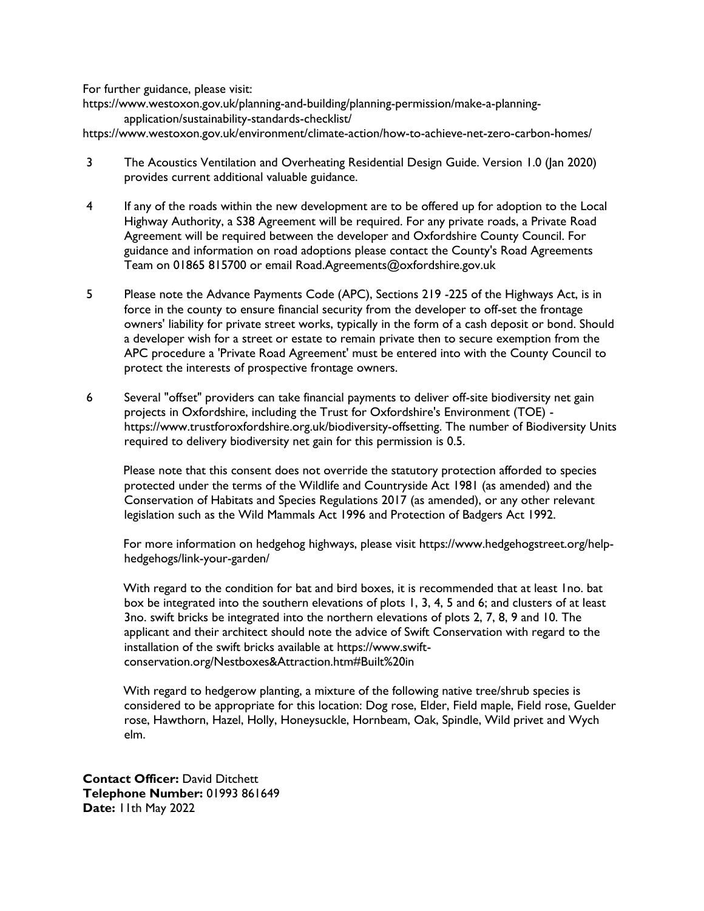For further guidance, please visit:

https://www.westoxon.gov.uk/planning-and-building/planning-permission/make-a-planningapplication/sustainability-standards-checklist/

https://www.westoxon.gov.uk/environment/climate-action/how-to-achieve-net-zero-carbon-homes/

- 3 The Acoustics Ventilation and Overheating Residential Design Guide. Version 1.0 (Jan 2020) provides current additional valuable guidance.
- 4 If any of the roads within the new development are to be offered up for adoption to the Local Highway Authority, a S38 Agreement will be required. For any private roads, a Private Road Agreement will be required between the developer and Oxfordshire County Council. For guidance and information on road adoptions please contact the County's Road Agreements Team on 01865 815700 or email Road.Agreements@oxfordshire.gov.uk
- 5 Please note the Advance Payments Code (APC), Sections 219 -225 of the Highways Act, is in force in the county to ensure financial security from the developer to off-set the frontage owners' liability for private street works, typically in the form of a cash deposit or bond. Should a developer wish for a street or estate to remain private then to secure exemption from the APC procedure a 'Private Road Agreement' must be entered into with the County Council to protect the interests of prospective frontage owners.
- 6 Several "offset" providers can take financial payments to deliver off-site biodiversity net gain projects in Oxfordshire, including the Trust for Oxfordshire's Environment (TOE) https://www.trustforoxfordshire.org.uk/biodiversity-offsetting. The number of Biodiversity Units required to delivery biodiversity net gain for this permission is 0.5.

Please note that this consent does not override the statutory protection afforded to species protected under the terms of the Wildlife and Countryside Act 1981 (as amended) and the Conservation of Habitats and Species Regulations 2017 (as amended), or any other relevant legislation such as the Wild Mammals Act 1996 and Protection of Badgers Act 1992.

For more information on hedgehog highways, please visit https://www.hedgehogstreet.org/helphedgehogs/link-your-garden/

With regard to the condition for bat and bird boxes, it is recommended that at least 1no. bat box be integrated into the southern elevations of plots 1, 3, 4, 5 and 6; and clusters of at least 3no. swift bricks be integrated into the northern elevations of plots 2, 7, 8, 9 and 10. The applicant and their architect should note the advice of Swift Conservation with regard to the installation of the swift bricks available at https://www.swiftconservation.org/Nestboxes&Attraction.htm#Built%20in

With regard to hedgerow planting, a mixture of the following native tree/shrub species is considered to be appropriate for this location: Dog rose, Elder, Field maple, Field rose, Guelder rose, Hawthorn, Hazel, Holly, Honeysuckle, Hornbeam, Oak, Spindle, Wild privet and Wych elm.

**Contact Officer:** David Ditchett **Telephone Number:** 01993 861649 **Date:** 11th May 2022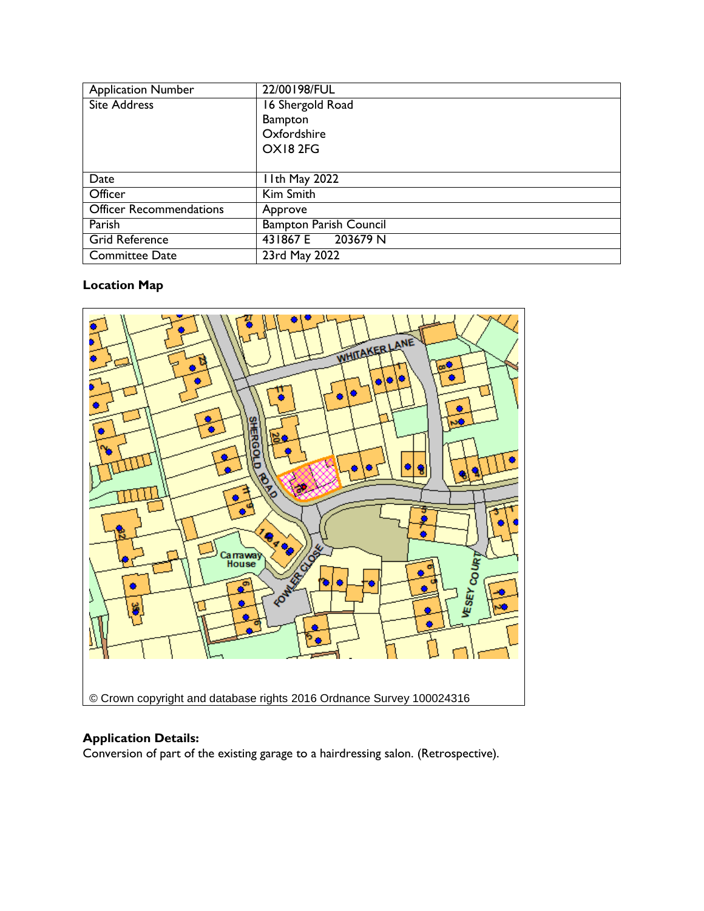| <b>Application Number</b> | 22/00198/FUL                  |
|---------------------------|-------------------------------|
| <b>Site Address</b>       | 16 Shergold Road              |
|                           | <b>Bampton</b>                |
|                           | Oxfordshire                   |
|                           | OX182FG                       |
|                           |                               |
| Date                      | I I th May 2022               |
| Officer                   | Kim Smith                     |
| Officer Recommendations   | Approve                       |
| Parish                    | <b>Bampton Parish Council</b> |
| <b>Grid Reference</b>     | 203679 N<br>431867 E          |
| <b>Committee Date</b>     | 23rd May 2022                 |

# **Location Map**



# **Application Details:**

Conversion of part of the existing garage to a hairdressing salon. (Retrospective).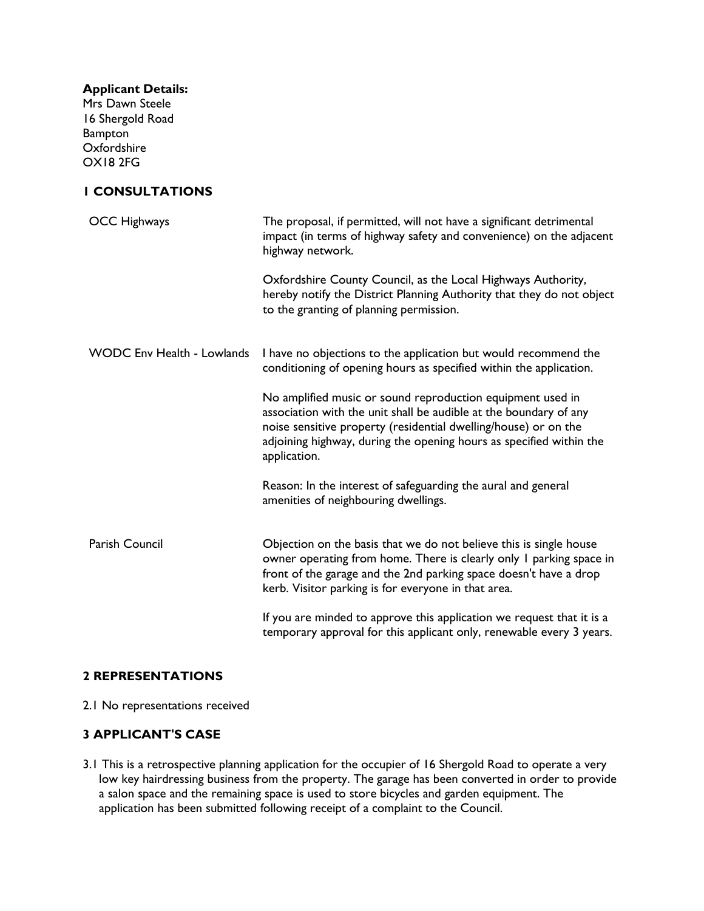| <b>Applicant Details:</b><br>Mrs Dawn Steele<br>16 Shergold Road<br><b>Bampton</b><br>Oxfordshire<br><b>OX182FG</b> |                                                                                                                                                                                                                                                                                           |
|---------------------------------------------------------------------------------------------------------------------|-------------------------------------------------------------------------------------------------------------------------------------------------------------------------------------------------------------------------------------------------------------------------------------------|
| <b>I CONSULTATIONS</b>                                                                                              |                                                                                                                                                                                                                                                                                           |
| <b>OCC Highways</b>                                                                                                 | The proposal, if permitted, will not have a significant detrimental<br>impact (in terms of highway safety and convenience) on the adjacent<br>highway network.                                                                                                                            |
|                                                                                                                     | Oxfordshire County Council, as the Local Highways Authority,<br>hereby notify the District Planning Authority that they do not object<br>to the granting of planning permission.                                                                                                          |
| <b>WODC Env Health - Lowlands</b>                                                                                   | I have no objections to the application but would recommend the<br>conditioning of opening hours as specified within the application.                                                                                                                                                     |
|                                                                                                                     | No amplified music or sound reproduction equipment used in<br>association with the unit shall be audible at the boundary of any<br>noise sensitive property (residential dwelling/house) or on the<br>adjoining highway, during the opening hours as specified within the<br>application. |
|                                                                                                                     | Reason: In the interest of safeguarding the aural and general<br>amenities of neighbouring dwellings.                                                                                                                                                                                     |
| Parish Council                                                                                                      | Objection on the basis that we do not believe this is single house<br>owner operating from home. There is clearly only I parking space in<br>front of the garage and the 2nd parking space doesn't have a drop<br>kerb. Visitor parking is for everyone in that area.                     |
|                                                                                                                     | If you are minded to approve this application we request that it is a<br>temporary approval for this applicant only, renewable every 3 years.                                                                                                                                             |

# **2 REPRESENTATIONS**

2.1 No representations received

## **3 APPLICANT'S CASE**

3.1 This is a retrospective planning application for the occupier of 16 Shergold Road to operate a very low key hairdressing business from the property. The garage has been converted in order to provide a salon space and the remaining space is used to store bicycles and garden equipment. The application has been submitted following receipt of a complaint to the Council.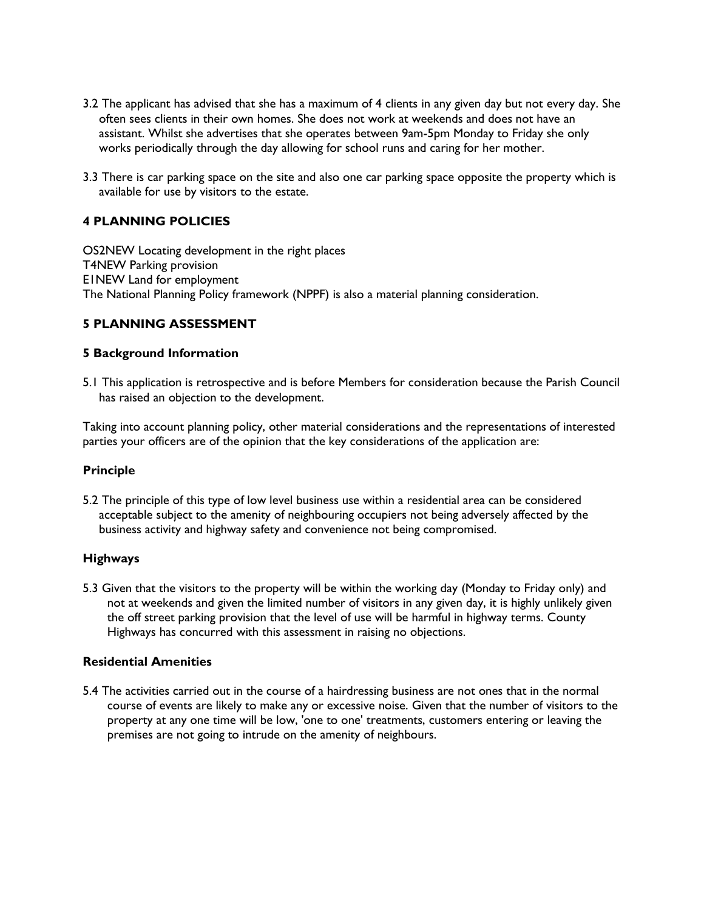- 3.2 The applicant has advised that she has a maximum of 4 clients in any given day but not every day. She often sees clients in their own homes. She does not work at weekends and does not have an assistant. Whilst she advertises that she operates between 9am-5pm Monday to Friday she only works periodically through the day allowing for school runs and caring for her mother.
- 3.3 There is car parking space on the site and also one car parking space opposite the property which is available for use by visitors to the estate.

# **4 PLANNING POLICIES**

OS2NEW Locating development in the right places T4NEW Parking provision E1NEW Land for employment The National Planning Policy framework (NPPF) is also a material planning consideration.

# **5 PLANNING ASSESSMENT**

#### **5 Background Information**

5.1 This application is retrospective and is before Members for consideration because the Parish Council has raised an objection to the development.

Taking into account planning policy, other material considerations and the representations of interested parties your officers are of the opinion that the key considerations of the application are:

#### **Principle**

5.2 The principle of this type of low level business use within a residential area can be considered acceptable subject to the amenity of neighbouring occupiers not being adversely affected by the business activity and highway safety and convenience not being compromised.

#### **Highways**

5.3 Given that the visitors to the property will be within the working day (Monday to Friday only) and not at weekends and given the limited number of visitors in any given day, it is highly unlikely given the off street parking provision that the level of use will be harmful in highway terms. County Highways has concurred with this assessment in raising no objections.

#### **Residential Amenities**

5.4 The activities carried out in the course of a hairdressing business are not ones that in the normal course of events are likely to make any or excessive noise. Given that the number of visitors to the property at any one time will be low, 'one to one' treatments, customers entering or leaving the premises are not going to intrude on the amenity of neighbours.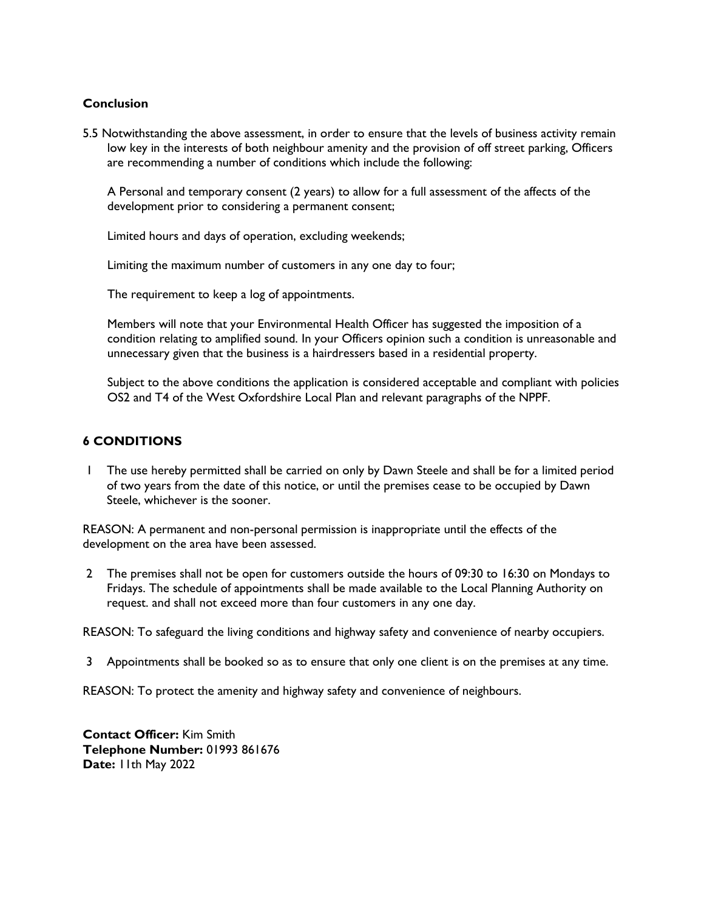## **Conclusion**

5.5 Notwithstanding the above assessment, in order to ensure that the levels of business activity remain low key in the interests of both neighbour amenity and the provision of off street parking, Officers are recommending a number of conditions which include the following:

A Personal and temporary consent (2 years) to allow for a full assessment of the affects of the development prior to considering a permanent consent;

Limited hours and days of operation, excluding weekends;

Limiting the maximum number of customers in any one day to four;

The requirement to keep a log of appointments.

Members will note that your Environmental Health Officer has suggested the imposition of a condition relating to amplified sound. In your Officers opinion such a condition is unreasonable and unnecessary given that the business is a hairdressers based in a residential property.

Subject to the above conditions the application is considered acceptable and compliant with policies OS2 and T4 of the West Oxfordshire Local Plan and relevant paragraphs of the NPPF.

## **6 CONDITIONS**

1 The use hereby permitted shall be carried on only by Dawn Steele and shall be for a limited period of two years from the date of this notice, or until the premises cease to be occupied by Dawn Steele, whichever is the sooner.

REASON: A permanent and non-personal permission is inappropriate until the effects of the development on the area have been assessed.

2 The premises shall not be open for customers outside the hours of 09:30 to 16:30 on Mondays to Fridays. The schedule of appointments shall be made available to the Local Planning Authority on request. and shall not exceed more than four customers in any one day.

REASON: To safeguard the living conditions and highway safety and convenience of nearby occupiers.

3 Appointments shall be booked so as to ensure that only one client is on the premises at any time.

REASON: To protect the amenity and highway safety and convenience of neighbours.

**Contact Officer:** Kim Smith **Telephone Number:** 01993 861676 **Date:** 11th May 2022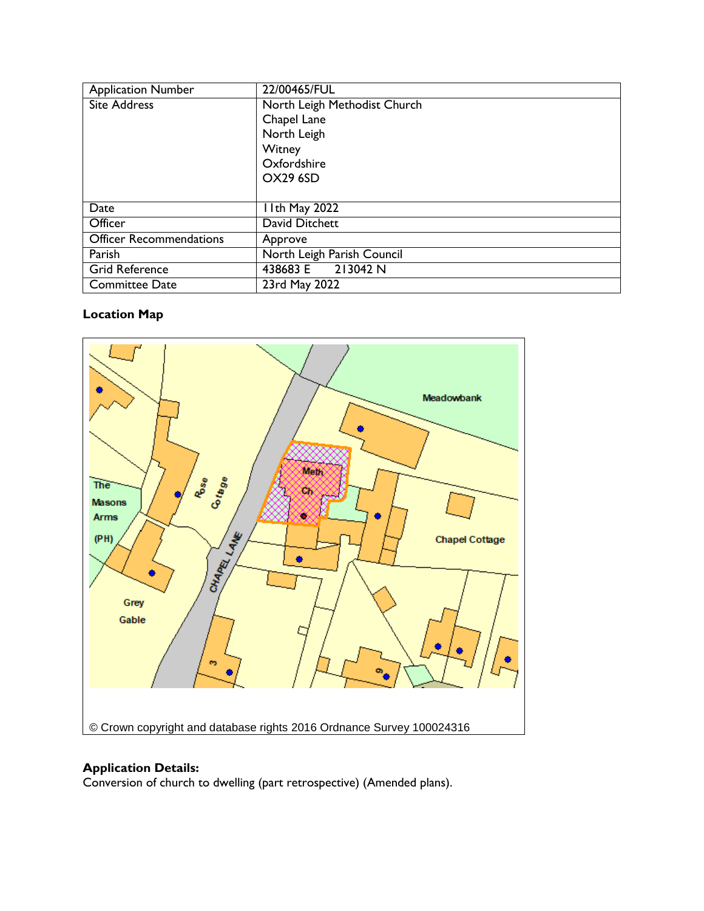| <b>Application Number</b>      | 22/00465/FUL                 |
|--------------------------------|------------------------------|
| <b>Site Address</b>            | North Leigh Methodist Church |
|                                | Chapel Lane                  |
|                                | North Leigh                  |
|                                | Witney                       |
|                                | Oxfordshire                  |
|                                | <b>OX29 6SD</b>              |
|                                |                              |
| Date                           | I I th May 2022              |
| Officer                        | David Ditchett               |
| <b>Officer Recommendations</b> | Approve                      |
| Parish                         | North Leigh Parish Council   |
| <b>Grid Reference</b>          | 438683 E 213042 N            |
| <b>Committee Date</b>          | 23rd May 2022                |

# **Location Map**



# **Application Details:**

Conversion of church to dwelling (part retrospective) (Amended plans).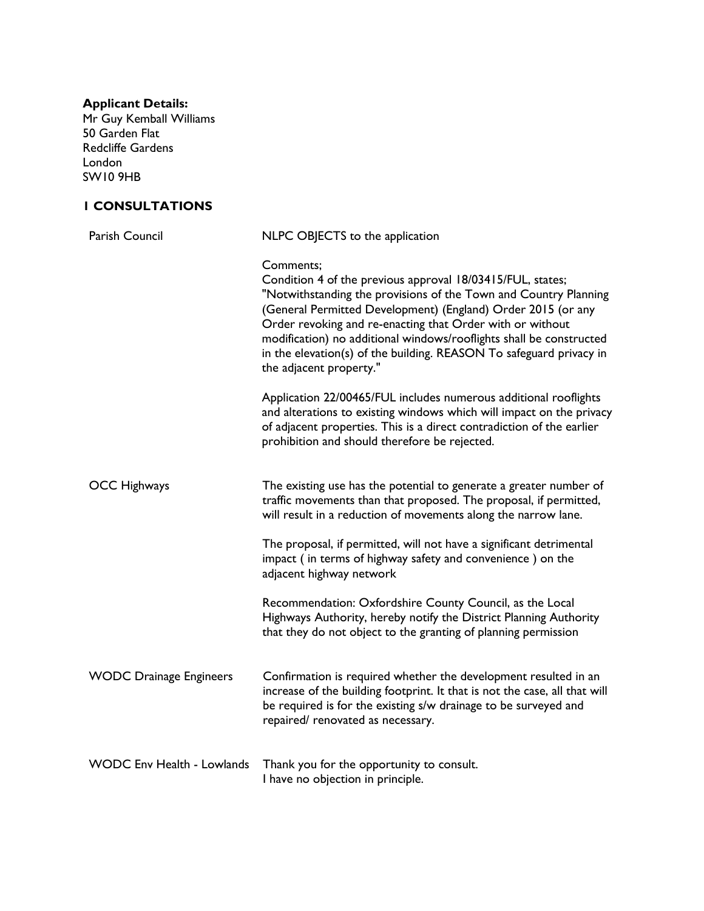#### **Applicant Details:**

Mr Guy Kemball Williams 50 Garden Flat Redcliffe Gardens London SW10 9HB

# **1 CONSULTATIONS**

| Parish Council                    | NLPC OBJECTS to the application                                                                                                                                                                                                                                                                                                                                                                                                                   |
|-----------------------------------|---------------------------------------------------------------------------------------------------------------------------------------------------------------------------------------------------------------------------------------------------------------------------------------------------------------------------------------------------------------------------------------------------------------------------------------------------|
|                                   | Comments;<br>Condition 4 of the previous approval 18/03415/FUL, states;<br>"Notwithstanding the provisions of the Town and Country Planning<br>(General Permitted Development) (England) Order 2015 (or any<br>Order revoking and re-enacting that Order with or without<br>modification) no additional windows/rooflights shall be constructed<br>in the elevation(s) of the building. REASON To safeguard privacy in<br>the adjacent property." |
|                                   | Application 22/00465/FUL includes numerous additional rooflights<br>and alterations to existing windows which will impact on the privacy<br>of adjacent properties. This is a direct contradiction of the earlier<br>prohibition and should therefore be rejected.                                                                                                                                                                                |
| <b>OCC Highways</b>               | The existing use has the potential to generate a greater number of<br>traffic movements than that proposed. The proposal, if permitted,<br>will result in a reduction of movements along the narrow lane.                                                                                                                                                                                                                                         |
|                                   | The proposal, if permitted, will not have a significant detrimental<br>impact (in terms of highway safety and convenience) on the<br>adjacent highway network                                                                                                                                                                                                                                                                                     |
|                                   | Recommendation: Oxfordshire County Council, as the Local<br>Highways Authority, hereby notify the District Planning Authority<br>that they do not object to the granting of planning permission                                                                                                                                                                                                                                                   |
| <b>WODC Drainage Engineers</b>    | Confirmation is required whether the development resulted in an<br>increase of the building footprint. It that is not the case, all that will<br>be required is for the existing s/w drainage to be surveyed and<br>repaired/ renovated as necessary.                                                                                                                                                                                             |
| <b>WODC Env Health - Lowlands</b> | Thank you for the opportunity to consult.<br>I have no objection in principle.                                                                                                                                                                                                                                                                                                                                                                    |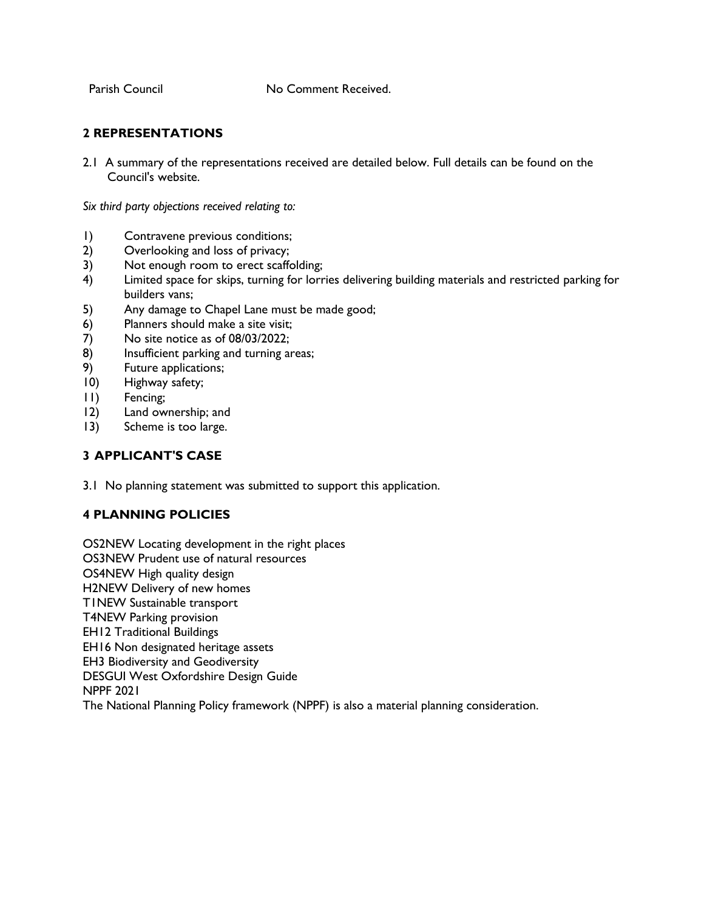Parish Council **No Comment Received.** 

# **2 REPRESENTATIONS**

2.1 A summary of the representations received are detailed below. Full details can be found on the Council's website.

*Six third party objections received relating to:* 

- 1) Contravene previous conditions;
- 2) Overlooking and loss of privacy;
- 3) Not enough room to erect scaffolding;
- 4) Limited space for skips, turning for lorries delivering building materials and restricted parking for builders vans;
- 5) Any damage to Chapel Lane must be made good;
- 6) Planners should make a site visit;
- 7) No site notice as of 08/03/2022;
- 8) Insufficient parking and turning areas;
- 9) Future applications;
- 10) Highway safety;
- 11) Fencing;
- 12) Land ownership; and
- 13) Scheme is too large.

# **3 APPLICANT'S CASE**

3.1 No planning statement was submitted to support this application.

# **4 PLANNING POLICIES**

OS2NEW Locating development in the right places OS3NEW Prudent use of natural resources OS4NEW High quality design H2NEW Delivery of new homes T1NEW Sustainable transport T4NEW Parking provision EH12 Traditional Buildings EH16 Non designated heritage assets EH3 Biodiversity and Geodiversity DESGUI West Oxfordshire Design Guide NPPF 2021 The National Planning Policy framework (NPPF) is also a material planning consideration.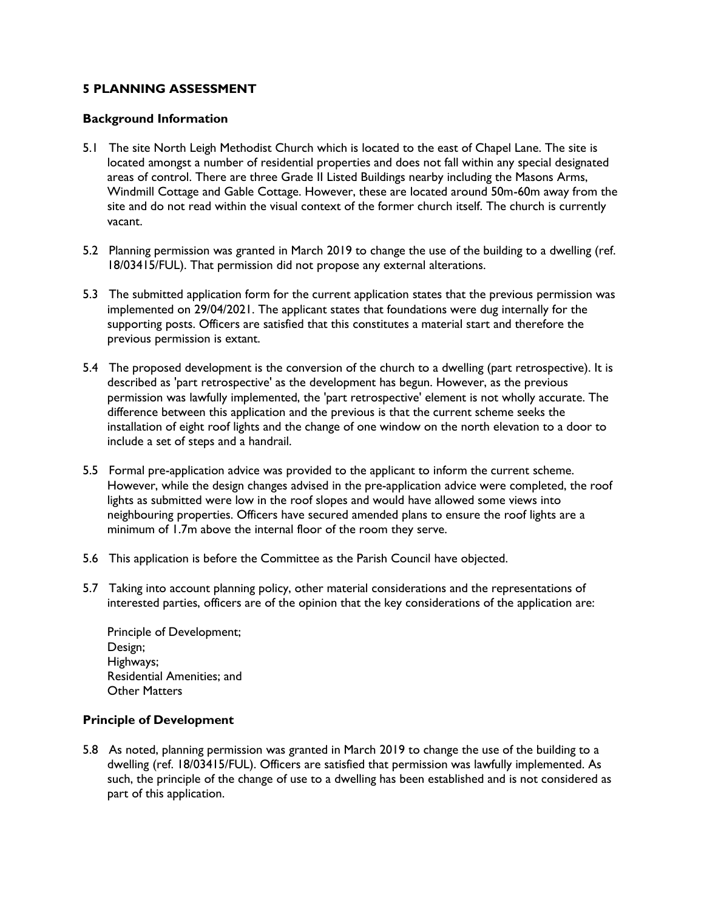# **5 PLANNING ASSESSMENT**

#### **Background Information**

- 5.1 The site North Leigh Methodist Church which is located to the east of Chapel Lane. The site is located amongst a number of residential properties and does not fall within any special designated areas of control. There are three Grade II Listed Buildings nearby including the Masons Arms, Windmill Cottage and Gable Cottage. However, these are located around 50m-60m away from the site and do not read within the visual context of the former church itself. The church is currently vacant.
- 5.2 Planning permission was granted in March 2019 to change the use of the building to a dwelling (ref. 18/03415/FUL). That permission did not propose any external alterations.
- 5.3 The submitted application form for the current application states that the previous permission was implemented on 29/04/2021. The applicant states that foundations were dug internally for the supporting posts. Officers are satisfied that this constitutes a material start and therefore the previous permission is extant.
- 5.4 The proposed development is the conversion of the church to a dwelling (part retrospective). It is described as 'part retrospective' as the development has begun. However, as the previous permission was lawfully implemented, the 'part retrospective' element is not wholly accurate. The difference between this application and the previous is that the current scheme seeks the installation of eight roof lights and the change of one window on the north elevation to a door to include a set of steps and a handrail.
- 5.5 Formal pre-application advice was provided to the applicant to inform the current scheme. However, while the design changes advised in the pre-application advice were completed, the roof lights as submitted were low in the roof slopes and would have allowed some views into neighbouring properties. Officers have secured amended plans to ensure the roof lights are a minimum of 1.7m above the internal floor of the room they serve.
- 5.6 This application is before the Committee as the Parish Council have objected.
- 5.7 Taking into account planning policy, other material considerations and the representations of interested parties, officers are of the opinion that the key considerations of the application are:

Principle of Development; Design; Highways; Residential Amenities; and Other Matters

#### **Principle of Development**

5.8 As noted, planning permission was granted in March 2019 to change the use of the building to a dwelling (ref. 18/03415/FUL). Officers are satisfied that permission was lawfully implemented. As such, the principle of the change of use to a dwelling has been established and is not considered as part of this application.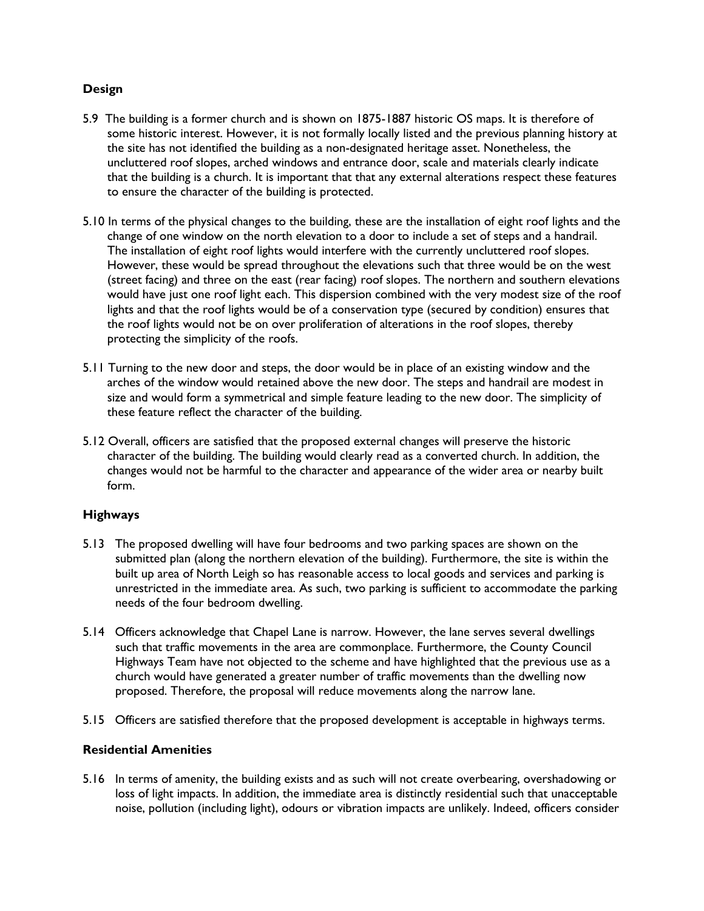# **Design**

- 5.9 The building is a former church and is shown on 1875-1887 historic OS maps. It is therefore of some historic interest. However, it is not formally locally listed and the previous planning history at the site has not identified the building as a non-designated heritage asset. Nonetheless, the uncluttered roof slopes, arched windows and entrance door, scale and materials clearly indicate that the building is a church. It is important that that any external alterations respect these features to ensure the character of the building is protected.
- 5.10 In terms of the physical changes to the building, these are the installation of eight roof lights and the change of one window on the north elevation to a door to include a set of steps and a handrail. The installation of eight roof lights would interfere with the currently uncluttered roof slopes. However, these would be spread throughout the elevations such that three would be on the west (street facing) and three on the east (rear facing) roof slopes. The northern and southern elevations would have just one roof light each. This dispersion combined with the very modest size of the roof lights and that the roof lights would be of a conservation type (secured by condition) ensures that the roof lights would not be on over proliferation of alterations in the roof slopes, thereby protecting the simplicity of the roofs.
- 5.11 Turning to the new door and steps, the door would be in place of an existing window and the arches of the window would retained above the new door. The steps and handrail are modest in size and would form a symmetrical and simple feature leading to the new door. The simplicity of these feature reflect the character of the building.
- 5.12 Overall, officers are satisfied that the proposed external changes will preserve the historic character of the building. The building would clearly read as a converted church. In addition, the changes would not be harmful to the character and appearance of the wider area or nearby built form.

# **Highways**

- 5.13 The proposed dwelling will have four bedrooms and two parking spaces are shown on the submitted plan (along the northern elevation of the building). Furthermore, the site is within the built up area of North Leigh so has reasonable access to local goods and services and parking is unrestricted in the immediate area. As such, two parking is sufficient to accommodate the parking needs of the four bedroom dwelling.
- 5.14 Officers acknowledge that Chapel Lane is narrow. However, the lane serves several dwellings such that traffic movements in the area are commonplace. Furthermore, the County Council Highways Team have not objected to the scheme and have highlighted that the previous use as a church would have generated a greater number of traffic movements than the dwelling now proposed. Therefore, the proposal will reduce movements along the narrow lane.
- 5.15 Officers are satisfied therefore that the proposed development is acceptable in highways terms.

#### **Residential Amenities**

5.16 In terms of amenity, the building exists and as such will not create overbearing, overshadowing or loss of light impacts. In addition, the immediate area is distinctly residential such that unacceptable noise, pollution (including light), odours or vibration impacts are unlikely. Indeed, officers consider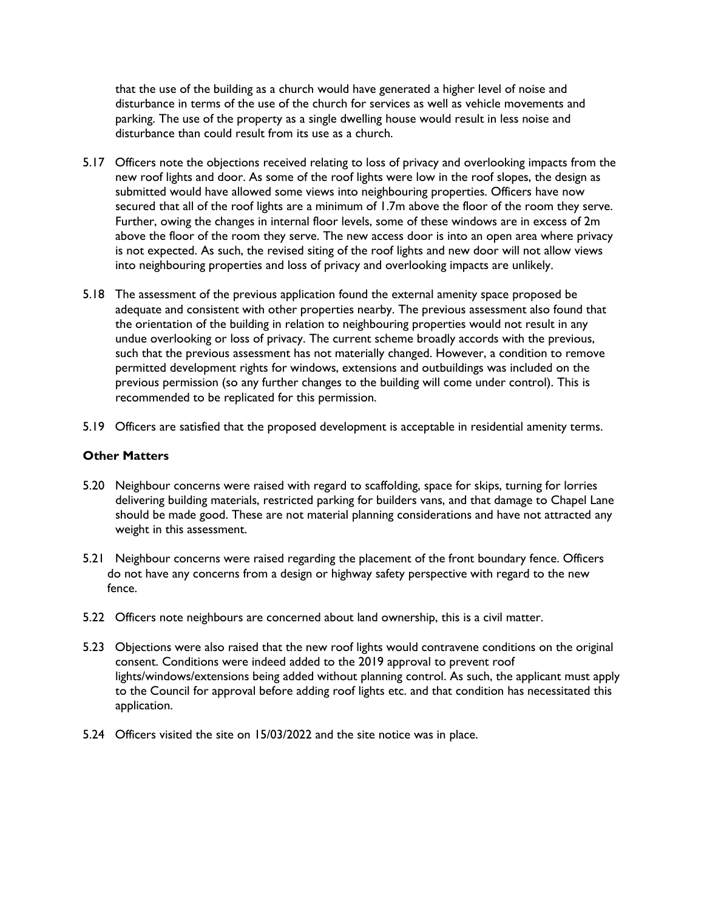that the use of the building as a church would have generated a higher level of noise and disturbance in terms of the use of the church for services as well as vehicle movements and parking. The use of the property as a single dwelling house would result in less noise and disturbance than could result from its use as a church.

- 5.17 Officers note the objections received relating to loss of privacy and overlooking impacts from the new roof lights and door. As some of the roof lights were low in the roof slopes, the design as submitted would have allowed some views into neighbouring properties. Officers have now secured that all of the roof lights are a minimum of 1.7m above the floor of the room they serve. Further, owing the changes in internal floor levels, some of these windows are in excess of 2m above the floor of the room they serve. The new access door is into an open area where privacy is not expected. As such, the revised siting of the roof lights and new door will not allow views into neighbouring properties and loss of privacy and overlooking impacts are unlikely.
- 5.18 The assessment of the previous application found the external amenity space proposed be adequate and consistent with other properties nearby. The previous assessment also found that the orientation of the building in relation to neighbouring properties would not result in any undue overlooking or loss of privacy. The current scheme broadly accords with the previous, such that the previous assessment has not materially changed. However, a condition to remove permitted development rights for windows, extensions and outbuildings was included on the previous permission (so any further changes to the building will come under control). This is recommended to be replicated for this permission.
- 5.19 Officers are satisfied that the proposed development is acceptable in residential amenity terms.

#### **Other Matters**

- 5.20 Neighbour concerns were raised with regard to scaffolding, space for skips, turning for lorries delivering building materials, restricted parking for builders vans, and that damage to Chapel Lane should be made good. These are not material planning considerations and have not attracted any weight in this assessment.
- 5.21 Neighbour concerns were raised regarding the placement of the front boundary fence. Officers do not have any concerns from a design or highway safety perspective with regard to the new fence.
- 5.22 Officers note neighbours are concerned about land ownership, this is a civil matter.
- 5.23 Objections were also raised that the new roof lights would contravene conditions on the original consent. Conditions were indeed added to the 2019 approval to prevent roof lights/windows/extensions being added without planning control. As such, the applicant must apply to the Council for approval before adding roof lights etc. and that condition has necessitated this application.
- 5.24 Officers visited the site on 15/03/2022 and the site notice was in place.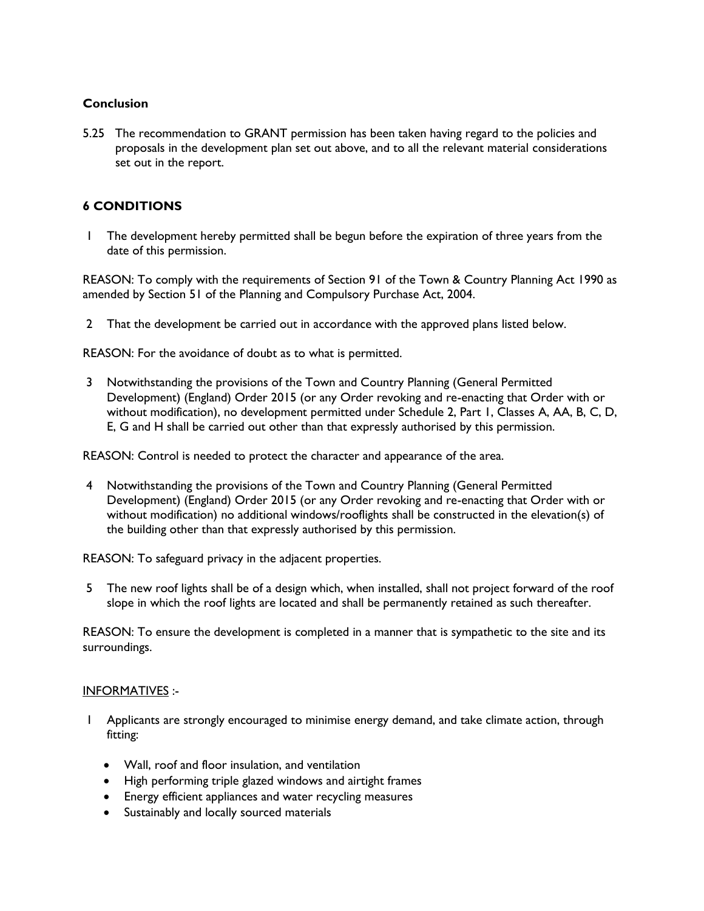## **Conclusion**

5.25 The recommendation to GRANT permission has been taken having regard to the policies and proposals in the development plan set out above, and to all the relevant material considerations set out in the report.

# **6 CONDITIONS**

1 The development hereby permitted shall be begun before the expiration of three years from the date of this permission.

REASON: To comply with the requirements of Section 91 of the Town & Country Planning Act 1990 as amended by Section 51 of the Planning and Compulsory Purchase Act, 2004.

2 That the development be carried out in accordance with the approved plans listed below.

REASON: For the avoidance of doubt as to what is permitted.

3 Notwithstanding the provisions of the Town and Country Planning (General Permitted Development) (England) Order 2015 (or any Order revoking and re-enacting that Order with or without modification), no development permitted under Schedule 2, Part 1, Classes A, AA, B, C, D, E, G and H shall be carried out other than that expressly authorised by this permission.

REASON: Control is needed to protect the character and appearance of the area.

4 Notwithstanding the provisions of the Town and Country Planning (General Permitted Development) (England) Order 2015 (or any Order revoking and re-enacting that Order with or without modification) no additional windows/rooflights shall be constructed in the elevation(s) of the building other than that expressly authorised by this permission.

REASON: To safeguard privacy in the adjacent properties.

5 The new roof lights shall be of a design which, when installed, shall not project forward of the roof slope in which the roof lights are located and shall be permanently retained as such thereafter.

REASON: To ensure the development is completed in a manner that is sympathetic to the site and its surroundings.

#### INFORMATIVES :-

- 1 Applicants are strongly encouraged to minimise energy demand, and take climate action, through fitting:
	- Wall, roof and floor insulation, and ventilation
	- High performing triple glazed windows and airtight frames
	- Energy efficient appliances and water recycling measures
	- Sustainably and locally sourced materials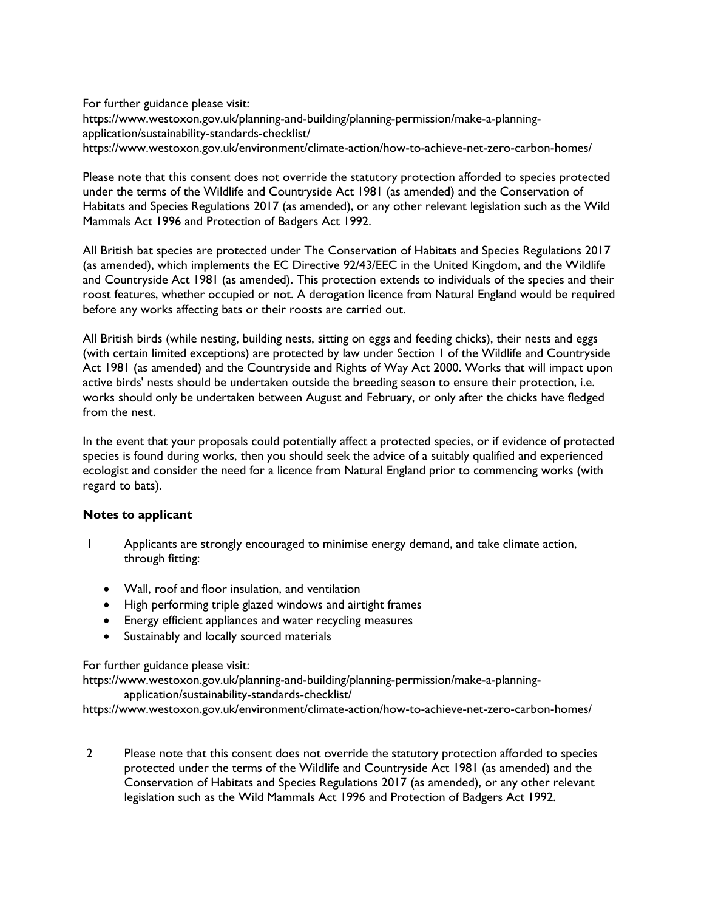For further guidance please visit: https://www.westoxon.gov.uk/planning-and-building/planning-permission/make-a-planningapplication/sustainability-standards-checklist/ https://www.westoxon.gov.uk/environment/climate-action/how-to-achieve-net-zero-carbon-homes/

Please note that this consent does not override the statutory protection afforded to species protected under the terms of the Wildlife and Countryside Act 1981 (as amended) and the Conservation of Habitats and Species Regulations 2017 (as amended), or any other relevant legislation such as the Wild Mammals Act 1996 and Protection of Badgers Act 1992.

All British bat species are protected under The Conservation of Habitats and Species Regulations 2017 (as amended), which implements the EC Directive 92/43/EEC in the United Kingdom, and the Wildlife and Countryside Act 1981 (as amended). This protection extends to individuals of the species and their roost features, whether occupied or not. A derogation licence from Natural England would be required before any works affecting bats or their roosts are carried out.

All British birds (while nesting, building nests, sitting on eggs and feeding chicks), their nests and eggs (with certain limited exceptions) are protected by law under Section 1 of the Wildlife and Countryside Act 1981 (as amended) and the Countryside and Rights of Way Act 2000. Works that will impact upon active birds' nests should be undertaken outside the breeding season to ensure their protection, i.e. works should only be undertaken between August and February, or only after the chicks have fledged from the nest.

In the event that your proposals could potentially affect a protected species, or if evidence of protected species is found during works, then you should seek the advice of a suitably qualified and experienced ecologist and consider the need for a licence from Natural England prior to commencing works (with regard to bats).

#### **Notes to applicant**

- 1 Applicants are strongly encouraged to minimise energy demand, and take climate action, through fitting:
	- Wall, roof and floor insulation, and ventilation
	- High performing triple glazed windows and airtight frames
	- Energy efficient appliances and water recycling measures
	- Sustainably and locally sourced materials

#### For further guidance please visit:

https://www.westoxon.gov.uk/planning-and-building/planning-permission/make-a-planningapplication/sustainability-standards-checklist/

https://www.westoxon.gov.uk/environment/climate-action/how-to-achieve-net-zero-carbon-homes/

2 Please note that this consent does not override the statutory protection afforded to species protected under the terms of the Wildlife and Countryside Act 1981 (as amended) and the Conservation of Habitats and Species Regulations 2017 (as amended), or any other relevant legislation such as the Wild Mammals Act 1996 and Protection of Badgers Act 1992.